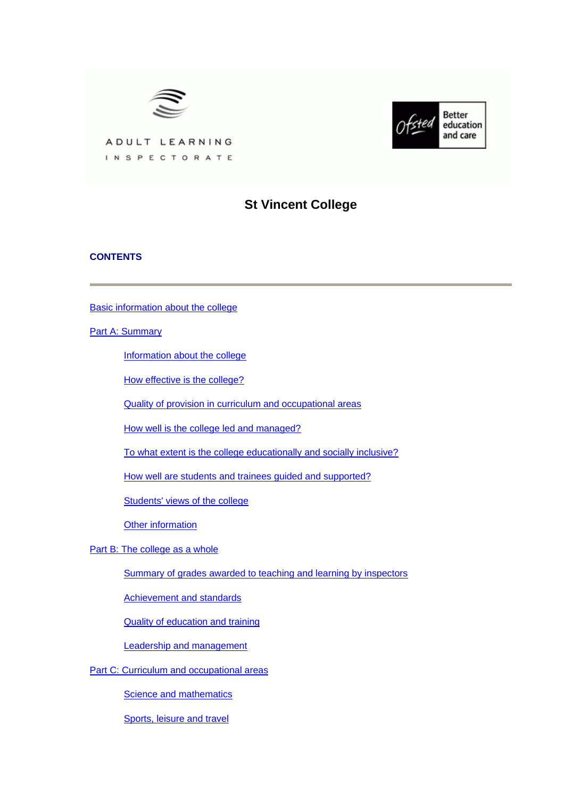



ADULT LEARNING INSPECTORATE

# **St Vincent College**

# **CONTENTS**

[Basic information about the college](#page-1-0)

**[Part A: Summary](#page-1-0)** 

[Information about the college](#page-1-0)

[How effective is the college?](#page-2-0)

[Quality of provision in curriculum and occupational areas](#page-3-0)

[How well is the college led and managed?](#page-4-0)

[To what extent is the college educationally and socially inclusive?](#page-4-0)

[How well are students and trainees guided and supported?](#page-5-0)

[Students' views of the college](#page-5-0)

[Other information](#page-7-0)

[Part B: The college as a whole](#page-7-0)

[Summary of grades awarded to teaching and learning by inspectors](#page-7-0)

[Achievement and standards](#page-8-0)

[Quality of education and training](#page-10-0)

[Leadership and management](#page-13-0)

[Part C: Curriculum and occupational areas](#page-14-0)

**[Science and mathematics](#page-14-0)** 

[Sports, leisure and travel](#page-18-0)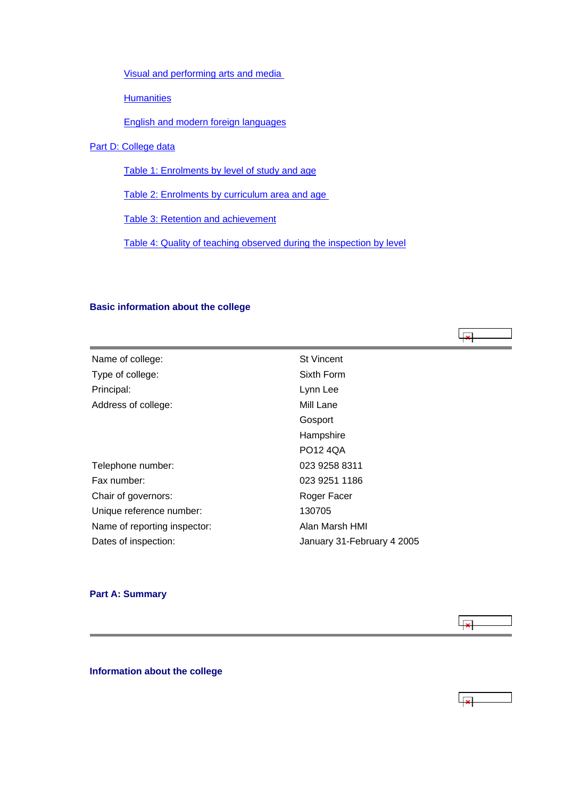<span id="page-1-0"></span>[Visual and performing arts and media](#page-20-0) 

**[Humanities](#page-24-0)** 

[English and modern foreign languages](#page-27-0)

[Part D: College data](#page-30-0)

[Table 1: Enrolments by level of study and age](#page-30-0)

[Table 2: Enrolments by curriculum area and age](#page-30-0) 

[Table 3: Retention and achievement](#page-31-0)

[Table 4: Quality of teaching observed during the inspection by level](#page-32-0)

# **Basic information about the college**

| Name of college:             | <b>St Vincent</b>          |
|------------------------------|----------------------------|
| Type of college:             | Sixth Form                 |
| Principal:                   | Lynn Lee                   |
| Address of college:          | Mill Lane                  |
|                              | Gosport                    |
|                              | Hampshire                  |
|                              | <b>PO12 4QA</b>            |
| Telephone number:            | 023 9258 8311              |
| Fax number:                  | 023 9251 1186              |
| Chair of governors:          | Roger Facer                |
| Unique reference number:     | 130705                     |
| Name of reporting inspector: | Alan Marsh HMI             |
| Dates of inspection:         | January 31-February 4 2005 |

# **Part A: Summary**



ابجا

**Information about the college**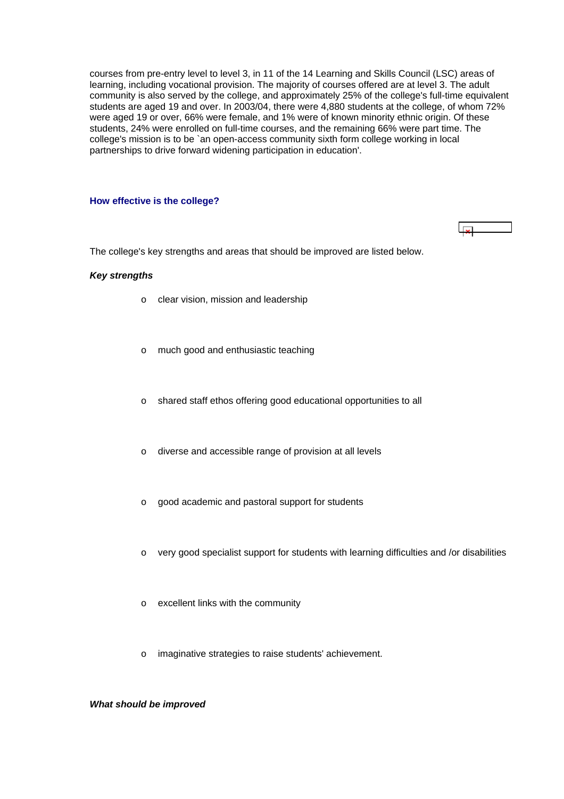<span id="page-2-0"></span>courses from pre-entry level to level 3, in 11 of the 14 Learning and Skills Council (LSC) areas of learning, including vocational provision. The majority of courses offered are at level 3. The adult community is also served by the college, and approximately 25% of the college's full-time equivalent students are aged 19 and over. In 2003/04, there were 4,880 students at the college, of whom 72% were aged 19 or over, 66% were female, and 1% were of known minority ethnic origin. Of these students, 24% were enrolled on full-time courses, and the remaining 66% were part time. The college's mission is to be `an open-access community sixth form college working in local partnerships to drive forward widening participation in education'.

 $\vert x \vert$ 

#### **How effective is the college?**

The college's key strengths and areas that should be improved are listed below.

### *Key strengths*

- o clear vision, mission and leadership
- o much good and enthusiastic teaching
- o shared staff ethos offering good educational opportunities to all
- o diverse and accessible range of provision at all levels
- o good academic and pastoral support for students
- o very good specialist support for students with learning difficulties and /or disabilities
- o excellent links with the community
- o imaginative strategies to raise students' achievement.

### *What should be improved*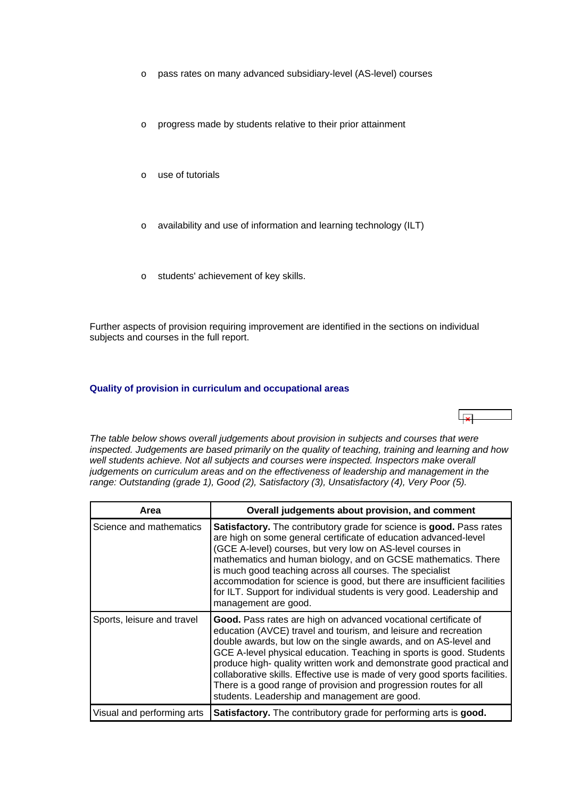- <span id="page-3-0"></span>o pass rates on many advanced subsidiary-level (AS-level) courses
- o progress made by students relative to their prior attainment
- o use of tutorials
- o availability and use of information and learning technology (ILT)
- o students' achievement of key skills.

Further aspects of provision requiring improvement are identified in the sections on individual subjects and courses in the full report.

#### **Quality of provision in curriculum and occupational areas**



*The table below shows overall judgements about provision in subjects and courses that were inspected. Judgements are based primarily on the quality of teaching, training and learning and how*  well students achieve. Not all subjects and courses were inspected. Inspectors make overall *judgements on curriculum areas and on the effectiveness of leadership and management in the range: Outstanding (grade 1), Good (2), Satisfactory (3), Unsatisfactory (4), Very Poor (5).*

| Area                       | Overall judgements about provision, and comment                                                                                                                                                                                                                                                                                                                                                                                                                                                                                                              |
|----------------------------|--------------------------------------------------------------------------------------------------------------------------------------------------------------------------------------------------------------------------------------------------------------------------------------------------------------------------------------------------------------------------------------------------------------------------------------------------------------------------------------------------------------------------------------------------------------|
| Science and mathematics    | Satisfactory. The contributory grade for science is good. Pass rates<br>are high on some general certificate of education advanced-level<br>(GCE A-level) courses, but very low on AS-level courses in<br>mathematics and human biology, and on GCSE mathematics. There<br>is much good teaching across all courses. The specialist<br>accommodation for science is good, but there are insufficient facilities<br>for ILT. Support for individual students is very good. Leadership and<br>management are good.                                             |
| Sports, leisure and travel | Good. Pass rates are high on advanced vocational certificate of<br>education (AVCE) travel and tourism, and leisure and recreation<br>double awards, but low on the single awards, and on AS-level and<br>GCE A-level physical education. Teaching in sports is good. Students<br>produce high- quality written work and demonstrate good practical and<br>collaborative skills. Effective use is made of very good sports facilities.<br>There is a good range of provision and progression routes for all<br>students. Leadership and management are good. |
| Visual and performing arts | Satisfactory. The contributory grade for performing arts is good.                                                                                                                                                                                                                                                                                                                                                                                                                                                                                            |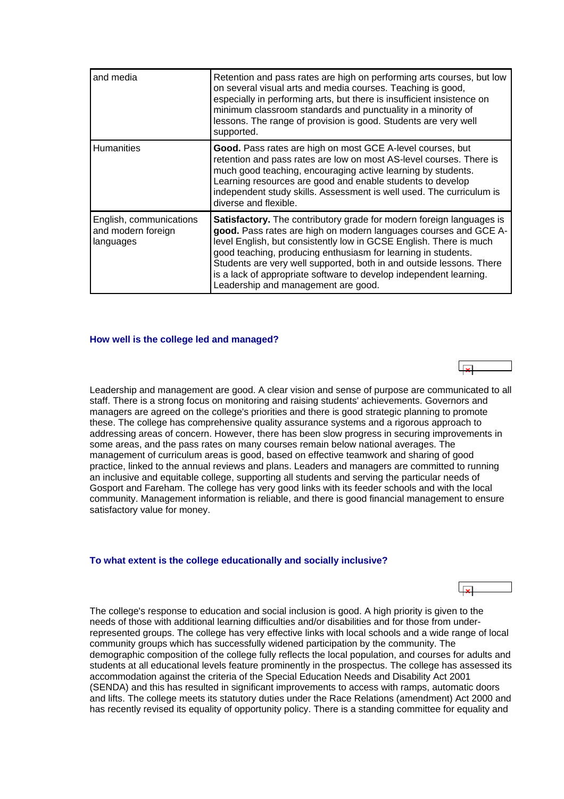<span id="page-4-0"></span>

| and media                                                  | Retention and pass rates are high on performing arts courses, but low<br>on several visual arts and media courses. Teaching is good,<br>especially in performing arts, but there is insufficient insistence on<br>minimum classroom standards and punctuality in a minority of<br>lessons. The range of provision is good. Students are very well<br>supported.                                                                                                      |
|------------------------------------------------------------|----------------------------------------------------------------------------------------------------------------------------------------------------------------------------------------------------------------------------------------------------------------------------------------------------------------------------------------------------------------------------------------------------------------------------------------------------------------------|
| <b>Humanities</b>                                          | Good. Pass rates are high on most GCE A-level courses, but<br>retention and pass rates are low on most AS-level courses. There is<br>much good teaching, encouraging active learning by students.<br>Learning resources are good and enable students to develop<br>independent study skills. Assessment is well used. The curriculum is<br>diverse and flexible.                                                                                                     |
| English, communications<br>and modern foreign<br>languages | Satisfactory. The contributory grade for modern foreign languages is<br>good. Pass rates are high on modern languages courses and GCE A-<br>level English, but consistently low in GCSE English. There is much<br>good teaching, producing enthusiasm for learning in students.<br>Students are very well supported, both in and outside lessons. There<br>is a lack of appropriate software to develop independent learning.<br>Leadership and management are good. |

#### **How well is the college led and managed?**

Leadership and management are good. A clear vision and sense of purpose are communicated to all staff. There is a strong focus on monitoring and raising students' achievements. Governors and managers are agreed on the college's priorities and there is good strategic planning to promote these. The college has comprehensive quality assurance systems and a rigorous approach to addressing areas of concern. However, there has been slow progress in securing improvements in some areas, and the pass rates on many courses remain below national averages. The management of curriculum areas is good, based on effective teamwork and sharing of good practice, linked to the annual reviews and plans. Leaders and managers are committed to running an inclusive and equitable college, supporting all students and serving the particular needs of Gosport and Fareham. The college has very good links with its feeder schools and with the local community. Management information is reliable, and there is good financial management to ensure satisfactory value for money.

#### **To what extent is the college educationally and socially inclusive?**

| The college's response to education and social inclusion is good. A high priority is given to the      |  |
|--------------------------------------------------------------------------------------------------------|--|
| needs of those with additional learning difficulties and/or disabilities and for those from under-     |  |
| represented groups. The college has very effective links with local schools and a wide range of local  |  |
| community groups which has successfully widened participation by the community. The                    |  |
| demographic composition of the college fully reflects the local population, and courses for adults and |  |
| students at all educational levels feature prominently in the prospectus. The college has assessed its |  |
| accommodation against the criteria of the Special Education Needs and Disability Act 2001              |  |
| $(OFNIDA)$ and this has vesilled in simplicant improvements to access with various subspacies design   |  |

 $\overline{\mathbf{v}}$ 

(SENDA) and this has resulted in significant improvements to access with ramps, automatic doors and lifts. The college meets its statutory duties under the Race Relations (amendment) Act 2000 and has recently revised its equality of opportunity policy. There is a standing committee for equality and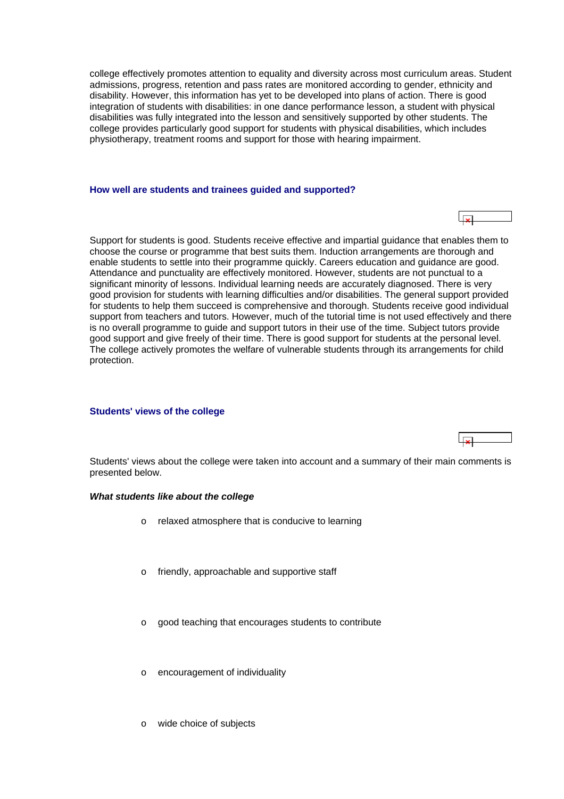<span id="page-5-0"></span>college effectively promotes attention to equality and diversity across most curriculum areas. Student admissions, progress, retention and pass rates are monitored according to gender, ethnicity and disability. However, this information has yet to be developed into plans of action. There is good integration of students with disabilities: in one dance performance lesson, a student with physical disabilities was fully integrated into the lesson and sensitively supported by other students. The college provides particularly good support for students with physical disabilities, which includes physiotherapy, treatment rooms and support for those with hearing impairment.

#### **How well are students and trainees guided and supported?**

Support for students is good. Students receive effective and impartial guidance that enables them to choose the course or programme that best suits them. Induction arrangements are thorough and enable students to settle into their programme quickly. Careers education and guidance are good. Attendance and punctuality are effectively monitored. However, students are not punctual to a significant minority of lessons. Individual learning needs are accurately diagnosed. There is very good provision for students with learning difficulties and/or disabilities. The general support provided for students to help them succeed is comprehensive and thorough. Students receive good individual support from teachers and tutors. However, much of the tutorial time is not used effectively and there is no overall programme to guide and support tutors in their use of the time. Subject tutors provide good support and give freely of their time. There is good support for students at the personal level. The college actively promotes the welfare of vulnerable students through its arrangements for child protection.

### **Students' views of the college**

Students' views about the college were taken into account and a summary of their main comments is presented below.

#### *What students like about the college*

- o relaxed atmosphere that is conducive to learning
- friendly, approachable and supportive staff
- good teaching that encourages students to contribute
- o encouragement of individuality
- o wide choice of subjects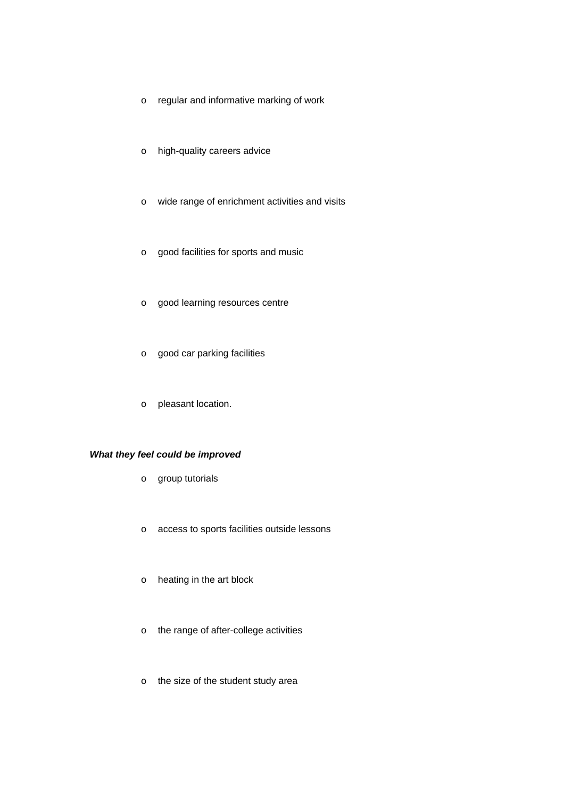- o regular and informative marking of work
- o high-quality careers advice
- o wide range of enrichment activities and visits
- o good facilities for sports and music
- o good learning resources centre
- o good car parking facilities
- o pleasant location.

# *What they feel could be improved*

- o group tutorials
- o access to sports facilities outside lessons
- o heating in the art block
- o the range of after-college activities
- o the size of the student study area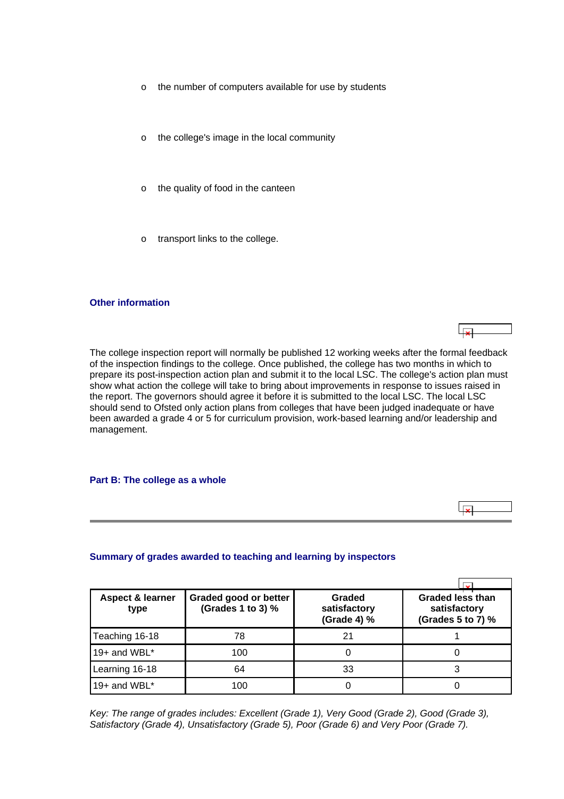- <span id="page-7-0"></span>o the number of computers available for use by students
- o the college's image in the local community
- o the quality of food in the canteen
- transport links to the college.

# **Other information**

The college inspection report will normally be published 12 working weeks after the formal feedback of the inspection findings to the college. Once published, the college has two months in which to prepare its post-inspection action plan and submit it to the local LSC. The college's action plan must show what action the college will take to bring about improvements in response to issues raised in the report. The governors should agree it before it is submitted to the local LSC. The local LSC should send to Ofsted only action plans from colleges that have been judged inadequate or have been awarded a grade 4 or 5 for curriculum provision, work-based learning and/or leadership and management.

ت ا

 $\overline{1}$ 

#### **Part B: The college as a whole**

### **Summary of grades awarded to teaching and learning by inspectors**

| <b>Aspect &amp; learner</b><br>type | Graded good or better<br>(Grades 1 to 3) % | Graded<br>satisfactory<br>(Grade 4) % | <b>Graded less than</b><br>satisfactory<br>(Grades 5 to 7) % |
|-------------------------------------|--------------------------------------------|---------------------------------------|--------------------------------------------------------------|
| Teaching 16-18                      | 78                                         |                                       |                                                              |
| 19+ and WBL*                        | 100                                        |                                       |                                                              |
| Learning 16-18                      | 64                                         | 33                                    |                                                              |
| 19+ and WBL*                        | 100                                        |                                       |                                                              |

*Key: The range of grades includes: Excellent (Grade 1), Very Good (Grade 2), Good (Grade 3), Satisfactory (Grade 4), Unsatisfactory (Grade 5), Poor (Grade 6) and Very Poor (Grade 7).*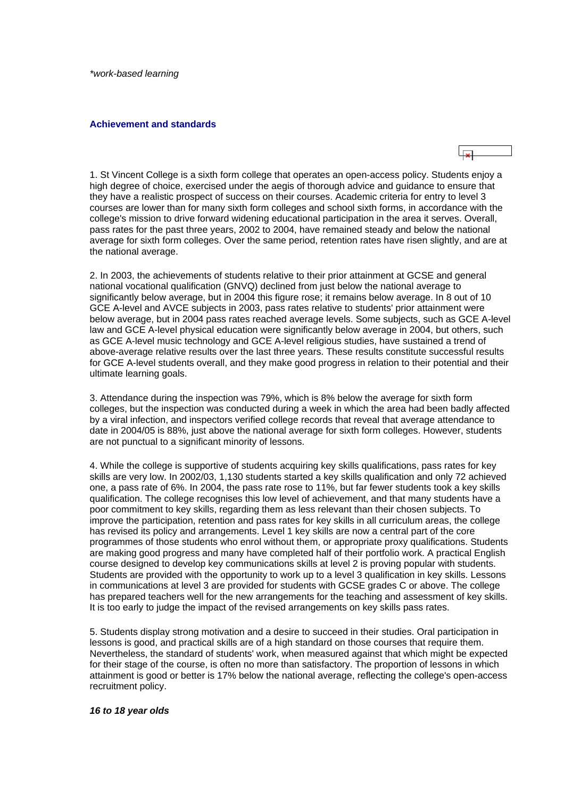<span id="page-8-0"></span>*\*work-based learning*

#### **Achievement and standards**



1. St Vincent College is a sixth form college that operates an open-access policy. Students enjoy a high degree of choice, exercised under the aegis of thorough advice and guidance to ensure that they have a realistic prospect of success on their courses. Academic criteria for entry to level 3 courses are lower than for many sixth form colleges and school sixth forms, in accordance with the college's mission to drive forward widening educational participation in the area it serves. Overall, pass rates for the past three years, 2002 to 2004, have remained steady and below the national average for sixth form colleges. Over the same period, retention rates have risen slightly, and are at the national average.

2. In 2003, the achievements of students relative to their prior attainment at GCSE and general national vocational qualification (GNVQ) declined from just below the national average to significantly below average, but in 2004 this figure rose; it remains below average. In 8 out of 10 GCE A-level and AVCE subjects in 2003, pass rates relative to students' prior attainment were below average, but in 2004 pass rates reached average levels. Some subjects, such as GCE A-level law and GCE A-level physical education were significantly below average in 2004, but others, such as GCE A-level music technology and GCE A-level religious studies, have sustained a trend of above-average relative results over the last three years. These results constitute successful results for GCE A-level students overall, and they make good progress in relation to their potential and their ultimate learning goals.

3. Attendance during the inspection was 79%, which is 8% below the average for sixth form colleges, but the inspection was conducted during a week in which the area had been badly affected by a viral infection, and inspectors verified college records that reveal that average attendance to date in 2004/05 is 88%, just above the national average for sixth form colleges. However, students are not punctual to a significant minority of lessons.

4. While the college is supportive of students acquiring key skills qualifications, pass rates for key skills are very low. In 2002/03, 1,130 students started a key skills qualification and only 72 achieved one, a pass rate of 6%. In 2004, the pass rate rose to 11%, but far fewer students took a key skills qualification. The college recognises this low level of achievement, and that many students have a poor commitment to key skills, regarding them as less relevant than their chosen subjects. To improve the participation, retention and pass rates for key skills in all curriculum areas, the college has revised its policy and arrangements. Level 1 key skills are now a central part of the core programmes of those students who enrol without them, or appropriate proxy qualifications. Students are making good progress and many have completed half of their portfolio work. A practical English course designed to develop key communications skills at level 2 is proving popular with students. Students are provided with the opportunity to work up to a level 3 qualification in key skills. Lessons in communications at level 3 are provided for students with GCSE grades C or above. The college has prepared teachers well for the new arrangements for the teaching and assessment of key skills. It is too early to judge the impact of the revised arrangements on key skills pass rates.

5. Students display strong motivation and a desire to succeed in their studies. Oral participation in lessons is good, and practical skills are of a high standard on those courses that require them. Nevertheless, the standard of students' work, when measured against that which might be expected for their stage of the course, is often no more than satisfactory. The proportion of lessons in which attainment is good or better is 17% below the national average, reflecting the college's open-access recruitment policy.

#### *16 to 18 year olds*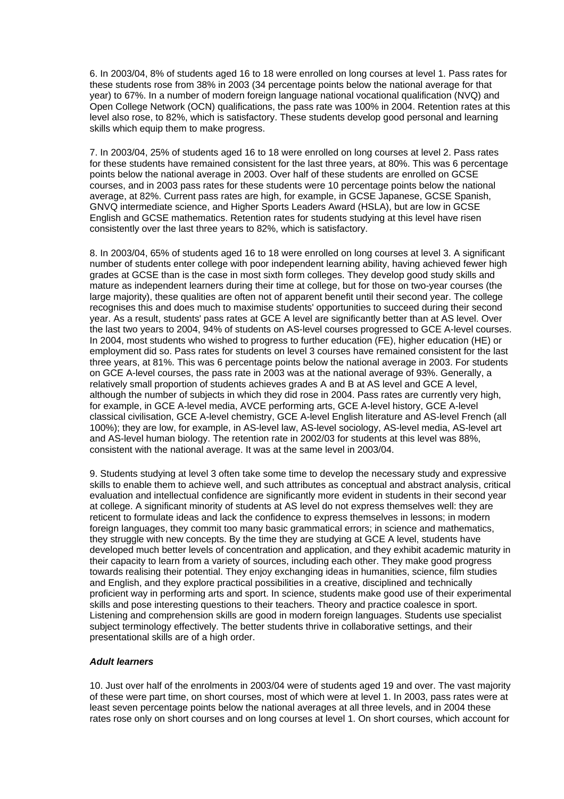6. In 2003/04, 8% of students aged 16 to 18 were enrolled on long courses at level 1. Pass rates for these students rose from 38% in 2003 (34 percentage points below the national average for that year) to 67%. In a number of modern foreign language national vocational qualification (NVQ) and Open College Network (OCN) qualifications, the pass rate was 100% in 2004. Retention rates at this level also rose, to 82%, which is satisfactory. These students develop good personal and learning skills which equip them to make progress.

7. In 2003/04, 25% of students aged 16 to 18 were enrolled on long courses at level 2. Pass rates for these students have remained consistent for the last three years, at 80%. This was 6 percentage points below the national average in 2003. Over half of these students are enrolled on GCSE courses, and in 2003 pass rates for these students were 10 percentage points below the national average, at 82%. Current pass rates are high, for example, in GCSE Japanese, GCSE Spanish, GNVQ intermediate science, and Higher Sports Leaders Award (HSLA), but are low in GCSE English and GCSE mathematics. Retention rates for students studying at this level have risen consistently over the last three years to 82%, which is satisfactory.

8. In 2003/04, 65% of students aged 16 to 18 were enrolled on long courses at level 3. A significant number of students enter college with poor independent learning ability, having achieved fewer high grades at GCSE than is the case in most sixth form colleges. They develop good study skills and mature as independent learners during their time at college, but for those on two-year courses (the large majority), these qualities are often not of apparent benefit until their second year. The college recognises this and does much to maximise students' opportunities to succeed during their second year. As a result, students' pass rates at GCE A level are significantly better than at AS level. Over the last two years to 2004, 94% of students on AS-level courses progressed to GCE A-level courses. In 2004, most students who wished to progress to further education (FE), higher education (HE) or employment did so. Pass rates for students on level 3 courses have remained consistent for the last three years, at 81%. This was 6 percentage points below the national average in 2003. For students on GCE A-level courses, the pass rate in 2003 was at the national average of 93%. Generally, a relatively small proportion of students achieves grades A and B at AS level and GCE A level, although the number of subjects in which they did rose in 2004. Pass rates are currently very high, for example, in GCE A-level media, AVCE performing arts, GCE A-level history, GCE A-level classical civilisation, GCE A-level chemistry, GCE A-level English literature and AS-level French (all 100%); they are low, for example, in AS-level law, AS-level sociology, AS-level media, AS-level art and AS-level human biology. The retention rate in 2002/03 for students at this level was 88%, consistent with the national average. It was at the same level in 2003/04.

9. Students studying at level 3 often take some time to develop the necessary study and expressive skills to enable them to achieve well, and such attributes as conceptual and abstract analysis, critical evaluation and intellectual confidence are significantly more evident in students in their second year at college. A significant minority of students at AS level do not express themselves well: they are reticent to formulate ideas and lack the confidence to express themselves in lessons; in modern foreign languages, they commit too many basic grammatical errors; in science and mathematics, they struggle with new concepts. By the time they are studying at GCE A level, students have developed much better levels of concentration and application, and they exhibit academic maturity in their capacity to learn from a variety of sources, including each other. They make good progress towards realising their potential. They enjoy exchanging ideas in humanities, science, film studies and English, and they explore practical possibilities in a creative, disciplined and technically proficient way in performing arts and sport. In science, students make good use of their experimental skills and pose interesting questions to their teachers. Theory and practice coalesce in sport. Listening and comprehension skills are good in modern foreign languages. Students use specialist subject terminology effectively. The better students thrive in collaborative settings, and their presentational skills are of a high order.

# *Adult learners*

10. Just over half of the enrolments in 2003/04 were of students aged 19 and over. The vast majority of these were part time, on short courses, most of which were at level 1. In 2003, pass rates were at least seven percentage points below the national averages at all three levels, and in 2004 these rates rose only on short courses and on long courses at level 1. On short courses, which account for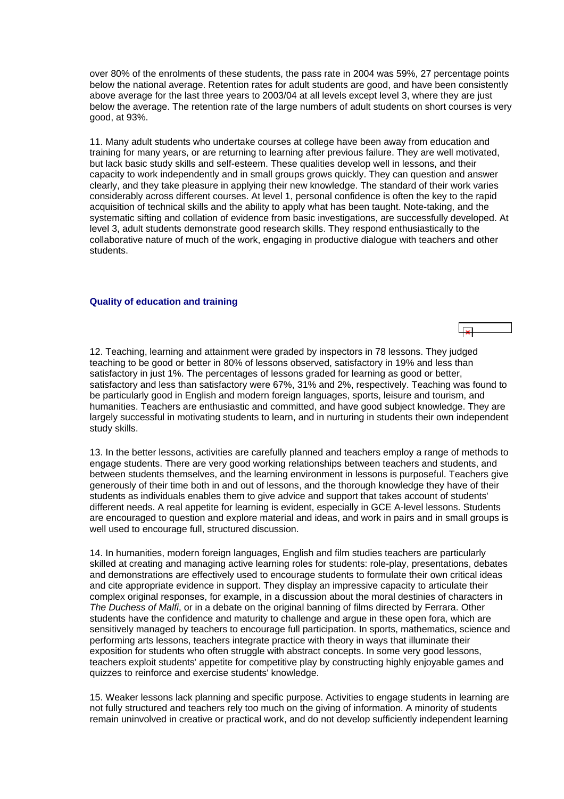<span id="page-10-0"></span>over 80% of the enrolments of these students, the pass rate in 2004 was 59%, 27 percentage points below the national average. Retention rates for adult students are good, and have been consistently above average for the last three years to 2003/04 at all levels except level 3, where they are just below the average. The retention rate of the large numbers of adult students on short courses is very good, at 93%.

11. Many adult students who undertake courses at college have been away from education and training for many years, or are returning to learning after previous failure. They are well motivated, but lack basic study skills and self-esteem. These qualities develop well in lessons, and their capacity to work independently and in small groups grows quickly. They can question and answer clearly, and they take pleasure in applying their new knowledge. The standard of their work varies considerably across different courses. At level 1, personal confidence is often the key to the rapid acquisition of technical skills and the ability to apply what has been taught. Note-taking, and the systematic sifting and collation of evidence from basic investigations, are successfully developed. At level 3, adult students demonstrate good research skills. They respond enthusiastically to the collaborative nature of much of the work, engaging in productive dialogue with teachers and other students.

### **Quality of education and training**

12. Teaching, learning and attainment were graded by inspectors in 78 lessons. They judged teaching to be good or better in 80% of lessons observed, satisfactory in 19% and less than satisfactory in just 1%. The percentages of lessons graded for learning as good or better, satisfactory and less than satisfactory were 67%, 31% and 2%, respectively. Teaching was found to be particularly good in English and modern foreign languages, sports, leisure and tourism, and humanities. Teachers are enthusiastic and committed, and have good subject knowledge. They are largely successful in motivating students to learn, and in nurturing in students their own independent study skills.

13. In the better lessons, activities are carefully planned and teachers employ a range of methods to engage students. There are very good working relationships between teachers and students, and between students themselves, and the learning environment in lessons is purposeful. Teachers give generously of their time both in and out of lessons, and the thorough knowledge they have of their students as individuals enables them to give advice and support that takes account of students' different needs. A real appetite for learning is evident, especially in GCE A-level lessons. Students are encouraged to question and explore material and ideas, and work in pairs and in small groups is well used to encourage full, structured discussion.

14. In humanities, modern foreign languages, English and film studies teachers are particularly skilled at creating and managing active learning roles for students: role-play, presentations, debates and demonstrations are effectively used to encourage students to formulate their own critical ideas and cite appropriate evidence in support. They display an impressive capacity to articulate their complex original responses, for example, in a discussion about the moral destinies of characters in *The Duchess of Malfi*, or in a debate on the original banning of films directed by Ferrara. Other students have the confidence and maturity to challenge and argue in these open fora, which are sensitively managed by teachers to encourage full participation. In sports, mathematics, science and performing arts lessons, teachers integrate practice with theory in ways that illuminate their exposition for students who often struggle with abstract concepts. In some very good lessons, teachers exploit students' appetite for competitive play by constructing highly enjoyable games and quizzes to reinforce and exercise students' knowledge.

15. Weaker lessons lack planning and specific purpose. Activities to engage students in learning are not fully structured and teachers rely too much on the giving of information. A minority of students remain uninvolved in creative or practical work, and do not develop sufficiently independent learning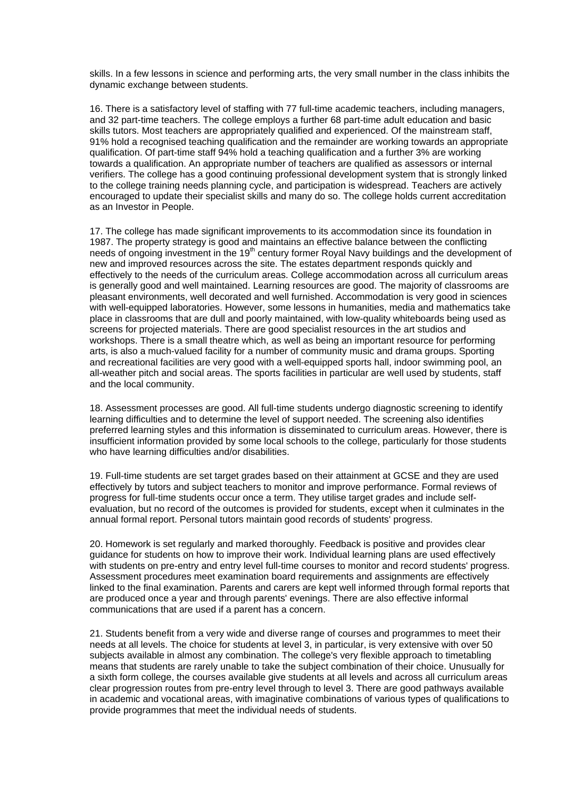skills. In a few lessons in science and performing arts, the very small number in the class inhibits the dynamic exchange between students.

16. There is a satisfactory level of staffing with 77 full-time academic teachers, including managers, and 32 part-time teachers. The college employs a further 68 part-time adult education and basic skills tutors. Most teachers are appropriately qualified and experienced. Of the mainstream staff, 91% hold a recognised teaching qualification and the remainder are working towards an appropriate qualification. Of part-time staff 94% hold a teaching qualification and a further 3% are working towards a qualification. An appropriate number of teachers are qualified as assessors or internal verifiers. The college has a good continuing professional development system that is strongly linked to the college training needs planning cycle, and participation is widespread. Teachers are actively encouraged to update their specialist skills and many do so. The college holds current accreditation as an Investor in People.

17. The college has made significant improvements to its accommodation since its foundation in 1987. The property strategy is good and maintains an effective balance between the conflicting needs of ongoing investment in the 19<sup>th</sup> century former Royal Navy buildings and the development of new and improved resources across the site. The estates department responds quickly and effectively to the needs of the curriculum areas. College accommodation across all curriculum areas is generally good and well maintained. Learning resources are good. The majority of classrooms are pleasant environments, well decorated and well furnished. Accommodation is very good in sciences with well-equipped laboratories. However, some lessons in humanities, media and mathematics take place in classrooms that are dull and poorly maintained, with low-quality whiteboards being used as screens for projected materials. There are good specialist resources in the art studios and workshops. There is a small theatre which, as well as being an important resource for performing arts, is also a much-valued facility for a number of community music and drama groups. Sporting and recreational facilities are very good with a well-equipped sports hall, indoor swimming pool, an all-weather pitch and social areas. The sports facilities in particular are well used by students, staff and the local community.

18. Assessment processes are good. All full-time students undergo diagnostic screening to identify learning difficulties and to determine the level of support needed. The screening also identifies preferred learning styles and this information is disseminated to curriculum areas. However, there is insufficient information provided by some local schools to the college, particularly for those students who have learning difficulties and/or disabilities.

19. Full-time students are set target grades based on their attainment at GCSE and they are used effectively by tutors and subject teachers to monitor and improve performance. Formal reviews of progress for full-time students occur once a term. They utilise target grades and include selfevaluation, but no record of the outcomes is provided for students, except when it culminates in the annual formal report. Personal tutors maintain good records of students' progress.

20. Homework is set regularly and marked thoroughly. Feedback is positive and provides clear guidance for students on how to improve their work. Individual learning plans are used effectively with students on pre-entry and entry level full-time courses to monitor and record students' progress. Assessment procedures meet examination board requirements and assignments are effectively linked to the final examination. Parents and carers are kept well informed through formal reports that are produced once a year and through parents' evenings. There are also effective informal communications that are used if a parent has a concern.

21. Students benefit from a very wide and diverse range of courses and programmes to meet their needs at all levels. The choice for students at level 3, in particular, is very extensive with over 50 subjects available in almost any combination. The college's very flexible approach to timetabling means that students are rarely unable to take the subject combination of their choice. Unusually for a sixth form college, the courses available give students at all levels and across all curriculum areas clear progression routes from pre-entry level through to level 3. There are good pathways available in academic and vocational areas, with imaginative combinations of various types of qualifications to provide programmes that meet the individual needs of students.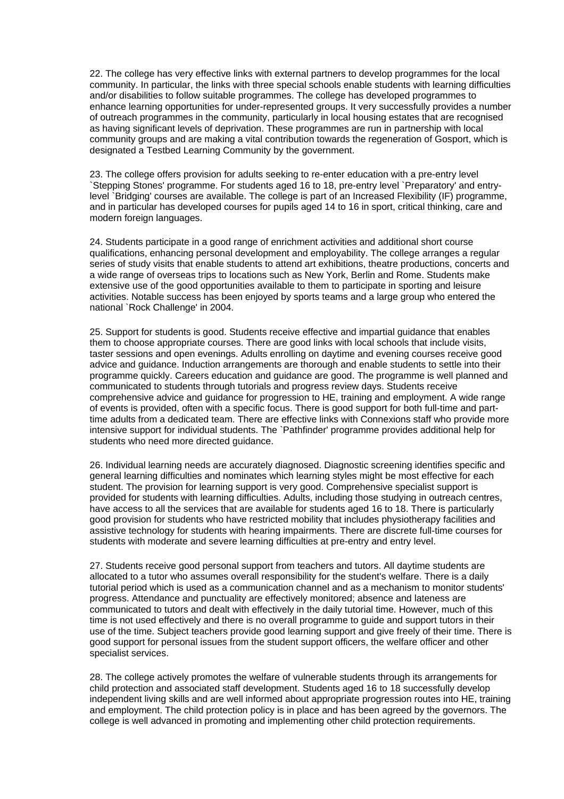22. The college has very effective links with external partners to develop programmes for the local community. In particular, the links with three special schools enable students with learning difficulties and/or disabilities to follow suitable programmes. The college has developed programmes to enhance learning opportunities for under-represented groups. It very successfully provides a number of outreach programmes in the community, particularly in local housing estates that are recognised as having significant levels of deprivation. These programmes are run in partnership with local community groups and are making a vital contribution towards the regeneration of Gosport, which is designated a Testbed Learning Community by the government.

23. The college offers provision for adults seeking to re-enter education with a pre-entry level `Stepping Stones' programme. For students aged 16 to 18, pre-entry level `Preparatory' and entrylevel `Bridging' courses are available. The college is part of an Increased Flexibility (IF) programme, and in particular has developed courses for pupils aged 14 to 16 in sport, critical thinking, care and modern foreign languages.

24. Students participate in a good range of enrichment activities and additional short course qualifications, enhancing personal development and employability. The college arranges a regular series of study visits that enable students to attend art exhibitions, theatre productions, concerts and a wide range of overseas trips to locations such as New York, Berlin and Rome. Students make extensive use of the good opportunities available to them to participate in sporting and leisure activities. Notable success has been enjoyed by sports teams and a large group who entered the national `Rock Challenge' in 2004.

25. Support for students is good. Students receive effective and impartial guidance that enables them to choose appropriate courses. There are good links with local schools that include visits, taster sessions and open evenings. Adults enrolling on daytime and evening courses receive good advice and guidance. Induction arrangements are thorough and enable students to settle into their programme quickly. Careers education and guidance are good. The programme is well planned and communicated to students through tutorials and progress review days. Students receive comprehensive advice and guidance for progression to HE, training and employment. A wide range of events is provided, often with a specific focus. There is good support for both full-time and parttime adults from a dedicated team. There are effective links with Connexions staff who provide more intensive support for individual students. The `Pathfinder' programme provides additional help for students who need more directed guidance.

26. Individual learning needs are accurately diagnosed. Diagnostic screening identifies specific and general learning difficulties and nominates which learning styles might be most effective for each student. The provision for learning support is very good. Comprehensive specialist support is provided for students with learning difficulties. Adults, including those studying in outreach centres, have access to all the services that are available for students aged 16 to 18. There is particularly good provision for students who have restricted mobility that includes physiotherapy facilities and assistive technology for students with hearing impairments. There are discrete full-time courses for students with moderate and severe learning difficulties at pre-entry and entry level.

27. Students receive good personal support from teachers and tutors. All daytime students are allocated to a tutor who assumes overall responsibility for the student's welfare. There is a daily tutorial period which is used as a communication channel and as a mechanism to monitor students' progress. Attendance and punctuality are effectively monitored; absence and lateness are communicated to tutors and dealt with effectively in the daily tutorial time. However, much of this time is not used effectively and there is no overall programme to guide and support tutors in their use of the time. Subject teachers provide good learning support and give freely of their time. There is good support for personal issues from the student support officers, the welfare officer and other specialist services.

28. The college actively promotes the welfare of vulnerable students through its arrangements for child protection and associated staff development. Students aged 16 to 18 successfully develop independent living skills and are well informed about appropriate progression routes into HE, training and employment. The child protection policy is in place and has been agreed by the governors. The college is well advanced in promoting and implementing other child protection requirements.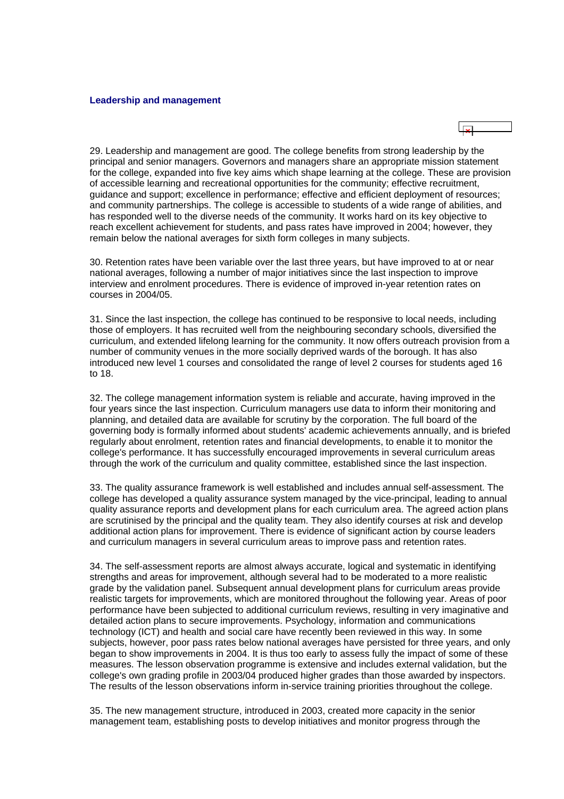#### <span id="page-13-0"></span>**Leadership and management**

29. Leadership and management are good. The college benefits from strong leadership by the principal and senior managers. Governors and managers share an appropriate mission statement for the college, expanded into five key aims which shape learning at the college. These are provision of accessible learning and recreational opportunities for the community; effective recruitment, guidance and support; excellence in performance; effective and efficient deployment of resources; and community partnerships. The college is accessible to students of a wide range of abilities, and has responded well to the diverse needs of the community. It works hard on its key objective to reach excellent achievement for students, and pass rates have improved in 2004; however, they remain below the national averages for sixth form colleges in many subjects.

30. Retention rates have been variable over the last three years, but have improved to at or near national averages, following a number of major initiatives since the last inspection to improve interview and enrolment procedures. There is evidence of improved in-year retention rates on courses in 2004/05.

31. Since the last inspection, the college has continued to be responsive to local needs, including those of employers. It has recruited well from the neighbouring secondary schools, diversified the curriculum, and extended lifelong learning for the community. It now offers outreach provision from a number of community venues in the more socially deprived wards of the borough. It has also introduced new level 1 courses and consolidated the range of level 2 courses for students aged 16 to 18.

32. The college management information system is reliable and accurate, having improved in the four years since the last inspection. Curriculum managers use data to inform their monitoring and planning, and detailed data are available for scrutiny by the corporation. The full board of the governing body is formally informed about students' academic achievements annually, and is briefed regularly about enrolment, retention rates and financial developments, to enable it to monitor the college's performance. It has successfully encouraged improvements in several curriculum areas through the work of the curriculum and quality committee, established since the last inspection.

33. The quality assurance framework is well established and includes annual self-assessment. The college has developed a quality assurance system managed by the vice-principal, leading to annual quality assurance reports and development plans for each curriculum area. The agreed action plans are scrutinised by the principal and the quality team. They also identify courses at risk and develop additional action plans for improvement. There is evidence of significant action by course leaders and curriculum managers in several curriculum areas to improve pass and retention rates.

34. The self-assessment reports are almost always accurate, logical and systematic in identifying strengths and areas for improvement, although several had to be moderated to a more realistic grade by the validation panel. Subsequent annual development plans for curriculum areas provide realistic targets for improvements, which are monitored throughout the following year. Areas of poor performance have been subjected to additional curriculum reviews, resulting in very imaginative and detailed action plans to secure improvements. Psychology, information and communications technology (ICT) and health and social care have recently been reviewed in this way. In some subjects, however, poor pass rates below national averages have persisted for three years, and only began to show improvements in 2004. It is thus too early to assess fully the impact of some of these measures. The lesson observation programme is extensive and includes external validation, but the college's own grading profile in 2003/04 produced higher grades than those awarded by inspectors. The results of the lesson observations inform in-service training priorities throughout the college.

35. The new management structure, introduced in 2003, created more capacity in the senior management team, establishing posts to develop initiatives and monitor progress through the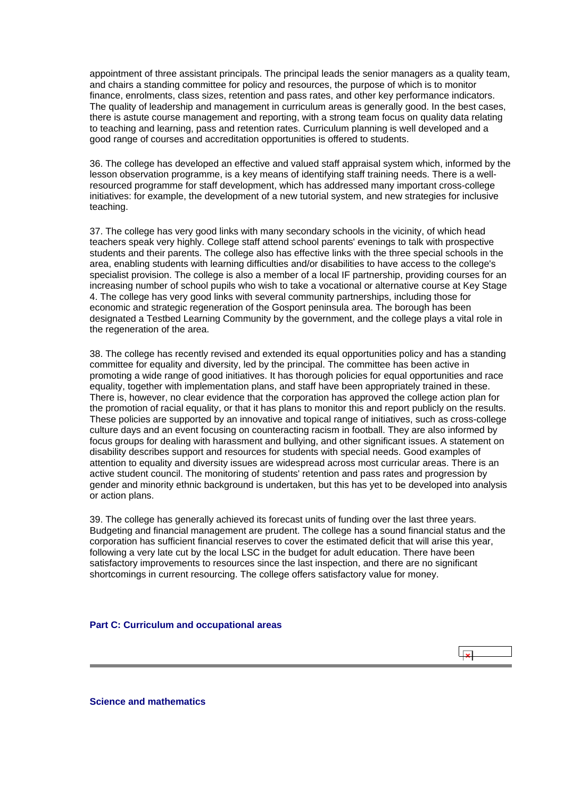<span id="page-14-0"></span>appointment of three assistant principals. The principal leads the senior managers as a quality team, and chairs a standing committee for policy and resources, the purpose of which is to monitor finance, enrolments, class sizes, retention and pass rates, and other key performance indicators. The quality of leadership and management in curriculum areas is generally good. In the best cases, there is astute course management and reporting, with a strong team focus on quality data relating to teaching and learning, pass and retention rates. Curriculum planning is well developed and a good range of courses and accreditation opportunities is offered to students.

36. The college has developed an effective and valued staff appraisal system which, informed by the lesson observation programme, is a key means of identifying staff training needs. There is a wellresourced programme for staff development, which has addressed many important cross-college initiatives: for example, the development of a new tutorial system, and new strategies for inclusive teaching.

37. The college has very good links with many secondary schools in the vicinity, of which head teachers speak very highly. College staff attend school parents' evenings to talk with prospective students and their parents. The college also has effective links with the three special schools in the area, enabling students with learning difficulties and/or disabilities to have access to the college's specialist provision. The college is also a member of a local IF partnership, providing courses for an increasing number of school pupils who wish to take a vocational or alternative course at Key Stage 4. The college has very good links with several community partnerships, including those for economic and strategic regeneration of the Gosport peninsula area. The borough has been designated a Testbed Learning Community by the government, and the college plays a vital role in the regeneration of the area.

38. The college has recently revised and extended its equal opportunities policy and has a standing committee for equality and diversity, led by the principal. The committee has been active in promoting a wide range of good initiatives. It has thorough policies for equal opportunities and race equality, together with implementation plans, and staff have been appropriately trained in these. There is, however, no clear evidence that the corporation has approved the college action plan for the promotion of racial equality, or that it has plans to monitor this and report publicly on the results. These policies are supported by an innovative and topical range of initiatives, such as cross-college culture days and an event focusing on counteracting racism in football. They are also informed by focus groups for dealing with harassment and bullying, and other significant issues. A statement on disability describes support and resources for students with special needs. Good examples of attention to equality and diversity issues are widespread across most curricular areas. There is an active student council. The monitoring of students' retention and pass rates and progression by gender and minority ethnic background is undertaken, but this has yet to be developed into analysis or action plans.

39. The college has generally achieved its forecast units of funding over the last three years. Budgeting and financial management are prudent. The college has a sound financial status and the corporation has sufficient financial reserves to cover the estimated deficit that will arise this year, following a very late cut by the local LSC in the budget for adult education. There have been satisfactory improvements to resources since the last inspection, and there are no significant shortcomings in current resourcing. The college offers satisfactory value for money.

احآبا

# **Part C: Curriculum and occupational areas**

**Science and mathematics**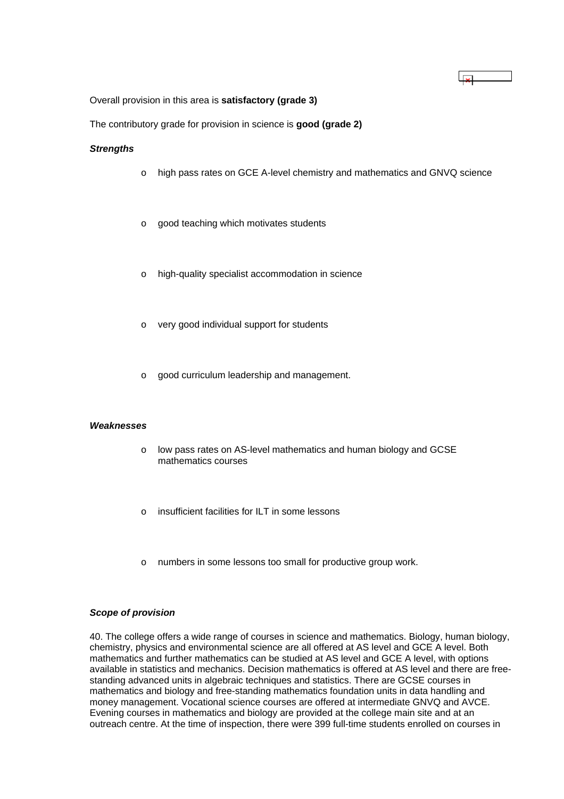Overall provision in this area is **satisfactory (grade 3)**

The contributory grade for provision in science is **good (grade 2)**

### *Strengths*

o high pass rates on GCE A-level chemistry and mathematics and GNVQ science

 $\overline{\mathbf{x}}$ 

- o good teaching which motivates students
- o high-quality specialist accommodation in science
- o very good individual support for students
- o good curriculum leadership and management.

### *Weaknesses*

- o low pass rates on AS-level mathematics and human biology and GCSE mathematics courses
- o insufficient facilities for ILT in some lessons
- o numbers in some lessons too small for productive group work.

### *Scope of provision*

40. The college offers a wide range of courses in science and mathematics. Biology, human biology, chemistry, physics and environmental science are all offered at AS level and GCE A level. Both mathematics and further mathematics can be studied at AS level and GCE A level, with options available in statistics and mechanics. Decision mathematics is offered at AS level and there are freestanding advanced units in algebraic techniques and statistics. There are GCSE courses in mathematics and biology and free-standing mathematics foundation units in data handling and money management. Vocational science courses are offered at intermediate GNVQ and AVCE. Evening courses in mathematics and biology are provided at the college main site and at an outreach centre. At the time of inspection, there were 399 full-time students enrolled on courses in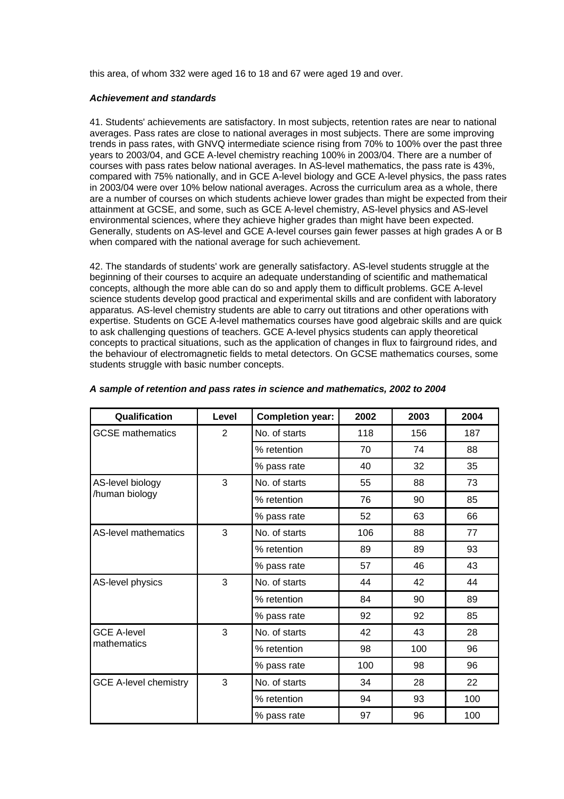this area, of whom 332 were aged 16 to 18 and 67 were aged 19 and over.

#### *Achievement and standards*

41. Students' achievements are satisfactory. In most subjects, retention rates are near to national averages. Pass rates are close to national averages in most subjects. There are some improving trends in pass rates, with GNVQ intermediate science rising from 70% to 100% over the past three years to 2003/04, and GCE A-level chemistry reaching 100% in 2003/04. There are a number of courses with pass rates below national averages. In AS-level mathematics, the pass rate is 43%, compared with 75% nationally, and in GCE A-level biology and GCE A-level physics, the pass rates in 2003/04 were over 10% below national averages. Across the curriculum area as a whole, there are a number of courses on which students achieve lower grades than might be expected from their attainment at GCSE, and some, such as GCE A-level chemistry, AS-level physics and AS-level environmental sciences, where they achieve higher grades than might have been expected. Generally, students on AS-level and GCE A-level courses gain fewer passes at high grades A or B when compared with the national average for such achievement.

42. The standards of students' work are generally satisfactory. AS-level students struggle at the beginning of their courses to acquire an adequate understanding of scientific and mathematical concepts, although the more able can do so and apply them to difficult problems. GCE A-level science students develop good practical and experimental skills and are confident with laboratory apparatus*.* AS-level chemistry students are able to carry out titrations and other operations with expertise. Students on GCE A-level mathematics courses have good algebraic skills and are quick to ask challenging questions of teachers. GCE A-level physics students can apply theoretical concepts to practical situations, such as the application of changes in flux to fairground rides, and the behaviour of electromagnetic fields to metal detectors. On GCSE mathematics courses, some students struggle with basic number concepts.

| Qualification                | Level | <b>Completion year:</b> | 2002 | 2003 | 2004 |
|------------------------------|-------|-------------------------|------|------|------|
| <b>GCSE</b> mathematics      | 2     | No. of starts           | 118  | 156  | 187  |
|                              |       | % retention             | 70   | 74   | 88   |
|                              |       | % pass rate             | 40   | 32   | 35   |
| AS-level biology             | 3     | No. of starts           | 55   | 88   | 73   |
| /human biology               |       | % retention             | 76   | 90   | 85   |
|                              |       | % pass rate             | 52   | 63   | 66   |
| AS-level mathematics         | 3     | No. of starts           | 106  | 88   | 77   |
|                              |       | % retention             | 89   | 89   | 93   |
|                              |       | % pass rate             | 57   | 46   | 43   |
| AS-level physics             | 3     | No. of starts           | 44   | 42   | 44   |
|                              |       | % retention             | 84   | 90   | 89   |
|                              |       | % pass rate             | 92   | 92   | 85   |
| <b>GCE A-level</b>           | 3     | No. of starts           | 42   | 43   | 28   |
| mathematics                  |       | % retention             | 98   | 100  | 96   |
|                              |       | % pass rate             | 100  | 98   | 96   |
| <b>GCE A-level chemistry</b> | 3     | No. of starts           | 34   | 28   | 22   |
|                              |       | % retention             | 94   | 93   | 100  |
|                              |       | % pass rate             | 97   | 96   | 100  |

### *A sample of retention and pass rates in science and mathematics, 2002 to 2004*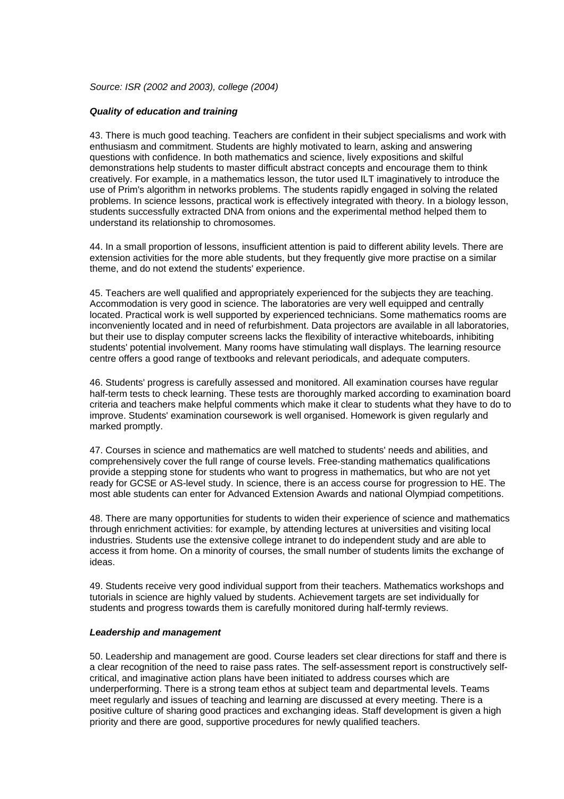*Source: ISR (2002 and 2003), college (2004)*

### *Quality of education and training*

43. There is much good teaching. Teachers are confident in their subject specialisms and work with enthusiasm and commitment. Students are highly motivated to learn, asking and answering questions with confidence. In both mathematics and science, lively expositions and skilful demonstrations help students to master difficult abstract concepts and encourage them to think creatively. For example, in a mathematics lesson, the tutor used ILT imaginatively to introduce the use of Prim's algorithm in networks problems. The students rapidly engaged in solving the related problems. In science lessons, practical work is effectively integrated with theory. In a biology lesson, students successfully extracted DNA from onions and the experimental method helped them to understand its relationship to chromosomes.

44. In a small proportion of lessons, insufficient attention is paid to different ability levels. There are extension activities for the more able students, but they frequently give more practise on a similar theme, and do not extend the students' experience.

45. Teachers are well qualified and appropriately experienced for the subjects they are teaching. Accommodation is very good in science. The laboratories are very well equipped and centrally located. Practical work is well supported by experienced technicians. Some mathematics rooms are inconveniently located and in need of refurbishment. Data projectors are available in all laboratories, but their use to display computer screens lacks the flexibility of interactive whiteboards, inhibiting students' potential involvement. Many rooms have stimulating wall displays. The learning resource centre offers a good range of textbooks and relevant periodicals, and adequate computers.

46. Students' progress is carefully assessed and monitored. All examination courses have regular half-term tests to check learning. These tests are thoroughly marked according to examination board criteria and teachers make helpful comments which make it clear to students what they have to do to improve. Students' examination coursework is well organised. Homework is given regularly and marked promptly.

47. Courses in science and mathematics are well matched to students' needs and abilities, and comprehensively cover the full range of course levels. Free-standing mathematics qualifications provide a stepping stone for students who want to progress in mathematics, but who are not yet ready for GCSE or AS-level study. In science, there is an access course for progression to HE. The most able students can enter for Advanced Extension Awards and national Olympiad competitions.

48. There are many opportunities for students to widen their experience of science and mathematics through enrichment activities: for example, by attending lectures at universities and visiting local industries. Students use the extensive college intranet to do independent study and are able to access it from home. On a minority of courses, the small number of students limits the exchange of ideas.

49. Students receive very good individual support from their teachers. Mathematics workshops and tutorials in science are highly valued by students. Achievement targets are set individually for students and progress towards them is carefully monitored during half-termly reviews.

### *Leadership and management*

50. Leadership and management are good. Course leaders set clear directions for staff and there is a clear recognition of the need to raise pass rates. The self-assessment report is constructively selfcritical, and imaginative action plans have been initiated to address courses which are underperforming. There is a strong team ethos at subject team and departmental levels. Teams meet regularly and issues of teaching and learning are discussed at every meeting. There is a positive culture of sharing good practices and exchanging ideas. Staff development is given a high priority and there are good, supportive procedures for newly qualified teachers.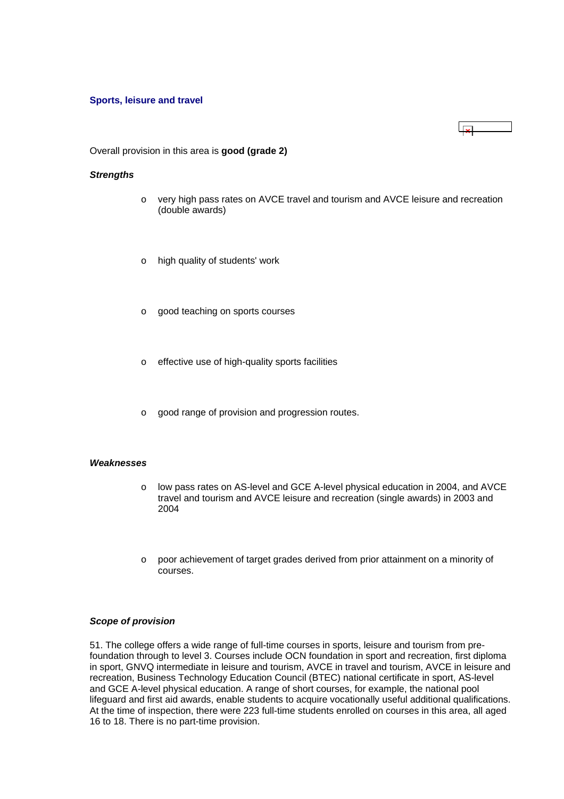### <span id="page-18-0"></span>**Sports, leisure and travel**

 $\Box$ 

Overall provision in this area is **good (grade 2)**

#### *Strengths*

- o very high pass rates on AVCE travel and tourism and AVCE leisure and recreation (double awards)
- o high quality of students' work
- o good teaching on sports courses
- o effective use of high-quality sports facilities
- o good range of provision and progression routes.

### *Weaknesses*

- o low pass rates on AS-level and GCE A-level physical education in 2004, and AVCE travel and tourism and AVCE leisure and recreation (single awards) in 2003 and 2004
- $\circ$  poor achievement of target grades derived from prior attainment on a minority of courses.

#### *Scope of provision*

51. The college offers a wide range of full-time courses in sports, leisure and tourism from prefoundation through to level 3. Courses include OCN foundation in sport and recreation, first diploma in sport, GNVQ intermediate in leisure and tourism, AVCE in travel and tourism, AVCE in leisure and recreation, Business Technology Education Council (BTEC) national certificate in sport, AS-level and GCE A-level physical education. A range of short courses, for example, the national pool lifeguard and first aid awards, enable students to acquire vocationally useful additional qualifications. At the time of inspection, there were 223 full-time students enrolled on courses in this area, all aged 16 to 18. There is no part-time provision.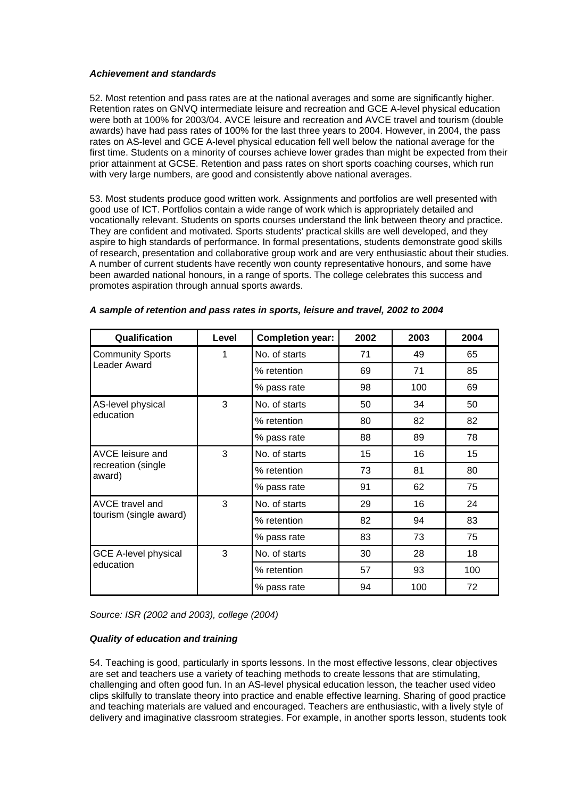### *Achievement and standards*

52. Most retention and pass rates are at the national averages and some are significantly higher. Retention rates on GNVQ intermediate leisure and recreation and GCE A-level physical education were both at 100% for 2003/04. AVCE leisure and recreation and AVCE travel and tourism (double awards) have had pass rates of 100% for the last three years to 2004. However, in 2004, the pass rates on AS-level and GCE A-level physical education fell well below the national average for the first time. Students on a minority of courses achieve lower grades than might be expected from their prior attainment at GCSE. Retention and pass rates on short sports coaching courses, which run with very large numbers, are good and consistently above national averages.

53. Most students produce good written work. Assignments and portfolios are well presented with good use of ICT. Portfolios contain a wide range of work which is appropriately detailed and vocationally relevant. Students on sports courses understand the link between theory and practice. They are confident and motivated. Sports students' practical skills are well developed, and they aspire to high standards of performance. In formal presentations, students demonstrate good skills of research, presentation and collaborative group work and are very enthusiastic about their studies. A number of current students have recently won county representative honours, and some have been awarded national honours, in a range of sports. The college celebrates this success and promotes aspiration through annual sports awards.

| Qualification                | Level | <b>Completion year:</b> | 2002 | 2003 | 2004 |
|------------------------------|-------|-------------------------|------|------|------|
| <b>Community Sports</b>      | 1     | No. of starts           | 71   | 49   | 65   |
| Leader Award                 |       | % retention             | 69   | 71   | 85   |
|                              |       | % pass rate             | 98   | 100  | 69   |
| AS-level physical            | 3     | No. of starts           | 50   | 34   | 50   |
| education                    |       | % retention             | 80   | 82   | 82   |
|                              |       | % pass rate             | 88   | 89   | 78   |
| AVCE leisure and             | 3     | No. of starts           | 15   | 16   | 15   |
| recreation (single<br>award) |       | % retention             | 73   | 81   | 80   |
|                              |       | % pass rate             | 91   | 62   | 75   |
| AVCE travel and              | 3     | No. of starts           | 29   | 16   | 24   |
| tourism (single award)       |       | % retention             | 82   | 94   | 83   |
|                              |       | % pass rate             | 83   | 73   | 75   |
| <b>GCE A-level physical</b>  | 3     | No. of starts           | 30   | 28   | 18   |
| education                    |       | % retention             | 57   | 93   | 100  |
|                              |       | % pass rate             | 94   | 100  | 72   |

|  |  | A sample of retention and pass rates in sports, leisure and travel, 2002 to 2004 |
|--|--|----------------------------------------------------------------------------------|
|--|--|----------------------------------------------------------------------------------|

*Source: ISR (2002 and 2003), college (2004)*

# *Quality of education and training*

54. Teaching is good, particularly in sports lessons. In the most effective lessons, clear objectives are set and teachers use a variety of teaching methods to create lessons that are stimulating, challenging and often good fun. In an AS-level physical education lesson, the teacher used video clips skilfully to translate theory into practice and enable effective learning. Sharing of good practice and teaching materials are valued and encouraged. Teachers are enthusiastic, with a lively style of delivery and imaginative classroom strategies. For example, in another sports lesson, students took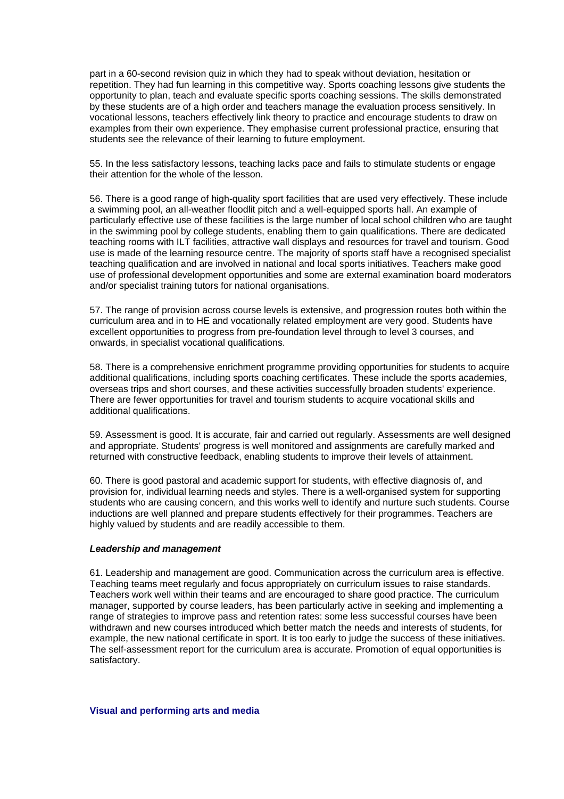<span id="page-20-0"></span>part in a 60-second revision quiz in which they had to speak without deviation, hesitation or repetition. They had fun learning in this competitive way. Sports coaching lessons give students the opportunity to plan, teach and evaluate specific sports coaching sessions. The skills demonstrated by these students are of a high order and teachers manage the evaluation process sensitively. In vocational lessons, teachers effectively link theory to practice and encourage students to draw on examples from their own experience. They emphasise current professional practice, ensuring that students see the relevance of their learning to future employment.

55. In the less satisfactory lessons, teaching lacks pace and fails to stimulate students or engage their attention for the whole of the lesson.

56. There is a good range of high-quality sport facilities that are used very effectively. These include a swimming pool, an all-weather floodlit pitch and a well-equipped sports hall. An example of particularly effective use of these facilities is the large number of local school children who are taught in the swimming pool by college students, enabling them to gain qualifications. There are dedicated teaching rooms with ILT facilities, attractive wall displays and resources for travel and tourism. Good use is made of the learning resource centre. The majority of sports staff have a recognised specialist teaching qualification and are involved in national and local sports initiatives. Teachers make good use of professional development opportunities and some are external examination board moderators and/or specialist training tutors for national organisations.

57. The range of provision across course levels is extensive, and progression routes both within the curriculum area and in to HE and vocationally related employment are very good. Students have excellent opportunities to progress from pre-foundation level through to level 3 courses, and onwards, in specialist vocational qualifications.

58. There is a comprehensive enrichment programme providing opportunities for students to acquire additional qualifications, including sports coaching certificates. These include the sports academies, overseas trips and short courses, and these activities successfully broaden students' experience. There are fewer opportunities for travel and tourism students to acquire vocational skills and additional qualifications.

59. Assessment is good. It is accurate, fair and carried out regularly. Assessments are well designed and appropriate. Students' progress is well monitored and assignments are carefully marked and returned with constructive feedback, enabling students to improve their levels of attainment.

60. There is good pastoral and academic support for students, with effective diagnosis of, and provision for, individual learning needs and styles. There is a well-organised system for supporting students who are causing concern, and this works well to identify and nurture such students. Course inductions are well planned and prepare students effectively for their programmes. Teachers are highly valued by students and are readily accessible to them.

### *Leadership and management*

61. Leadership and management are good. Communication across the curriculum area is effective. Teaching teams meet regularly and focus appropriately on curriculum issues to raise standards. Teachers work well within their teams and are encouraged to share good practice. The curriculum manager, supported by course leaders, has been particularly active in seeking and implementing a range of strategies to improve pass and retention rates: some less successful courses have been withdrawn and new courses introduced which better match the needs and interests of students, for example, the new national certificate in sport. It is too early to judge the success of these initiatives. The self-assessment report for the curriculum area is accurate. Promotion of equal opportunities is satisfactory.

# **Visual and performing arts and media**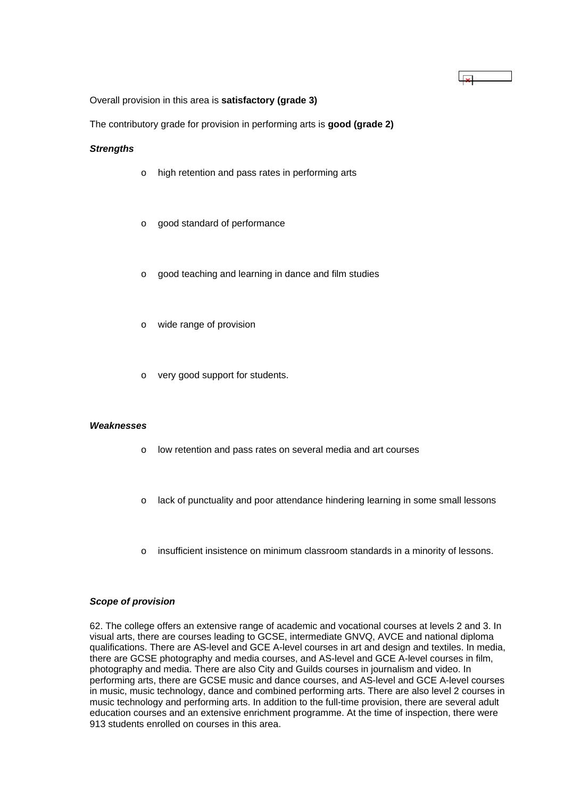Overall provision in this area is **satisfactory (grade 3)**

The contributory grade for provision in performing arts is **good (grade 2)**

#### *Strengths*

- o high retention and pass rates in performing arts
- o good standard of performance
- o good teaching and learning in dance and film studies
- o wide range of provision
- o very good support for students.

#### *Weaknesses*

- o low retention and pass rates on several media and art courses
- o lack of punctuality and poor attendance hindering learning in some small lessons

 $\overline{\mathbf{x}}$ 

o insufficient insistence on minimum classroom standards in a minority of lessons.

#### *Scope of provision*

62. The college offers an extensive range of academic and vocational courses at levels 2 and 3. In visual arts, there are courses leading to GCSE, intermediate GNVQ, AVCE and national diploma qualifications. There are AS-level and GCE A-level courses in art and design and textiles. In media, there are GCSE photography and media courses, and AS-level and GCE A-level courses in film, photography and media. There are also City and Guilds courses in journalism and video. In performing arts, there are GCSE music and dance courses, and AS-level and GCE A-level courses in music, music technology, dance and combined performing arts. There are also level 2 courses in music technology and performing arts. In addition to the full-time provision, there are several adult education courses and an extensive enrichment programme. At the time of inspection, there were 913 students enrolled on courses in this area.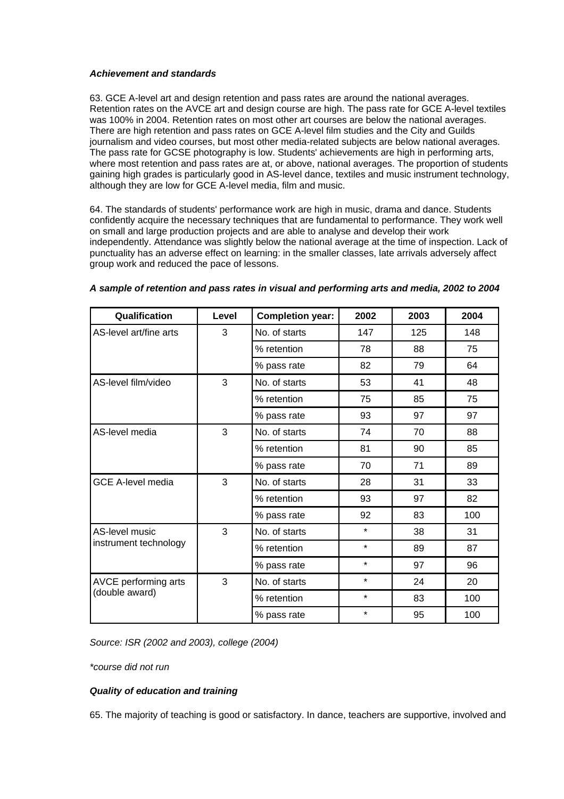# *Achievement and standards*

63. GCE A-level art and design retention and pass rates are around the national averages. Retention rates on the AVCE art and design course are high. The pass rate for GCE A-level textiles was 100% in 2004. Retention rates on most other art courses are below the national averages. There are high retention and pass rates on GCE A-level film studies and the City and Guilds journalism and video courses, but most other media-related subjects are below national averages. The pass rate for GCSE photography is low. Students' achievements are high in performing arts, where most retention and pass rates are at, or above, national averages. The proportion of students gaining high grades is particularly good in AS-level dance, textiles and music instrument technology, although they are low for GCE A-level media, film and music.

64. The standards of students' performance work are high in music, drama and dance. Students confidently acquire the necessary techniques that are fundamental to performance. They work well on small and large production projects and are able to analyse and develop their work independently. Attendance was slightly below the national average at the time of inspection. Lack of punctuality has an adverse effect on learning: in the smaller classes, late arrivals adversely affect group work and reduced the pace of lessons.

| Qualification            | Level | <b>Completion year:</b> | 2002    | 2003 | 2004 |
|--------------------------|-------|-------------------------|---------|------|------|
| AS-level art/fine arts   | 3     | No. of starts           | 147     | 125  | 148  |
|                          |       | % retention             | 78      | 88   | 75   |
|                          |       | % pass rate             | 82      | 79   | 64   |
| AS-level film/video      | 3     | No. of starts           | 53      | 41   | 48   |
|                          |       | % retention             | 75      | 85   | 75   |
|                          |       | % pass rate             | 93      | 97   | 97   |
| AS-level media           | 3     | No. of starts           | 74      | 70   | 88   |
|                          |       | % retention             | 81      | 90   | 85   |
|                          |       | % pass rate             | 70      | 71   | 89   |
| <b>GCE A-level media</b> | 3     | No. of starts           | 28      | 31   | 33   |
|                          |       | % retention             | 93      | 97   | 82   |
|                          |       | % pass rate             | 92      | 83   | 100  |
| AS-level music           | 3     | No. of starts           | $\star$ | 38   | 31   |
| instrument technology    |       | % retention             | $\star$ | 89   | 87   |
|                          |       | % pass rate             | $\star$ | 97   | 96   |
| AVCE performing arts     | 3     | No. of starts           | $\star$ | 24   | 20   |
| (double award)           |       | % retention             | $\star$ | 83   | 100  |
|                          |       | % pass rate             | $\star$ | 95   | 100  |

# *A sample of retention and pass rates in visual and performing arts and media, 2002 to 2004*

*Source: ISR (2002 and 2003), college (2004)*

*\*course did not run*

# *Quality of education and training*

65. The majority of teaching is good or satisfactory. In dance, teachers are supportive, involved and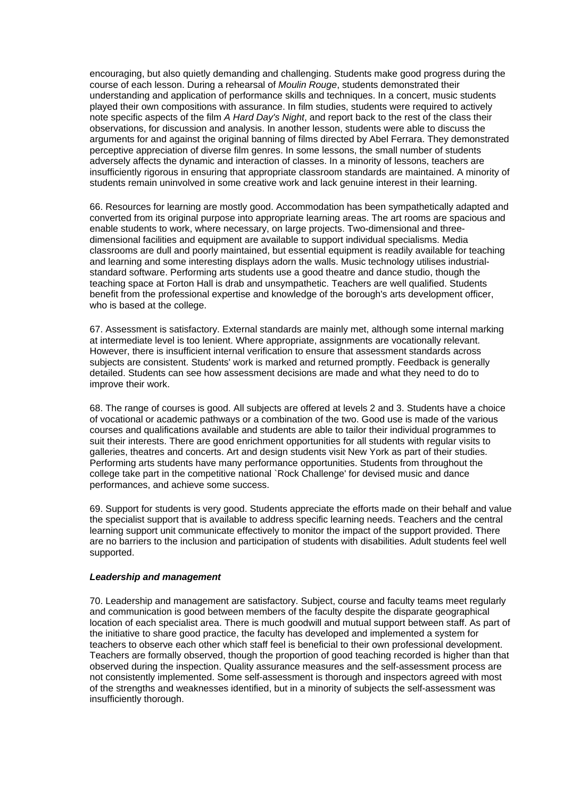encouraging, but also quietly demanding and challenging. Students make good progress during the course of each lesson. During a rehearsal of *Moulin Rouge*, students demonstrated their understanding and application of performance skills and techniques. In a concert, music students played their own compositions with assurance. In film studies, students were required to actively note specific aspects of the film *A Hard Day's Night*, and report back to the rest of the class their observations, for discussion and analysis. In another lesson, students were able to discuss the arguments for and against the original banning of films directed by Abel Ferrara. They demonstrated perceptive appreciation of diverse film genres. In some lessons, the small number of students adversely affects the dynamic and interaction of classes. In a minority of lessons, teachers are insufficiently rigorous in ensuring that appropriate classroom standards are maintained. A minority of students remain uninvolved in some creative work and lack genuine interest in their learning.

66. Resources for learning are mostly good. Accommodation has been sympathetically adapted and converted from its original purpose into appropriate learning areas. The art rooms are spacious and enable students to work, where necessary, on large projects. Two-dimensional and threedimensional facilities and equipment are available to support individual specialisms. Media classrooms are dull and poorly maintained, but essential equipment is readily available for teaching and learning and some interesting displays adorn the walls. Music technology utilises industrialstandard software. Performing arts students use a good theatre and dance studio, though the teaching space at Forton Hall is drab and unsympathetic. Teachers are well qualified. Students benefit from the professional expertise and knowledge of the borough's arts development officer, who is based at the college.

67. Assessment is satisfactory. External standards are mainly met, although some internal marking at intermediate level is too lenient. Where appropriate, assignments are vocationally relevant. However, there is insufficient internal verification to ensure that assessment standards across subjects are consistent. Students' work is marked and returned promptly. Feedback is generally detailed. Students can see how assessment decisions are made and what they need to do to improve their work.

68. The range of courses is good. All subjects are offered at levels 2 and 3. Students have a choice of vocational or academic pathways or a combination of the two. Good use is made of the various courses and qualifications available and students are able to tailor their individual programmes to suit their interests. There are good enrichment opportunities for all students with regular visits to galleries, theatres and concerts. Art and design students visit New York as part of their studies. Performing arts students have many performance opportunities. Students from throughout the college take part in the competitive national `Rock Challenge' for devised music and dance performances, and achieve some success.

69. Support for students is very good. Students appreciate the efforts made on their behalf and value the specialist support that is available to address specific learning needs. Teachers and the central learning support unit communicate effectively to monitor the impact of the support provided. There are no barriers to the inclusion and participation of students with disabilities. Adult students feel well supported.

### *Leadership and management*

70. Leadership and management are satisfactory. Subject, course and faculty teams meet regularly and communication is good between members of the faculty despite the disparate geographical location of each specialist area. There is much goodwill and mutual support between staff. As part of the initiative to share good practice, the faculty has developed and implemented a system for teachers to observe each other which staff feel is beneficial to their own professional development. Teachers are formally observed, though the proportion of good teaching recorded is higher than that observed during the inspection. Quality assurance measures and the self-assessment process are not consistently implemented. Some self-assessment is thorough and inspectors agreed with most of the strengths and weaknesses identified, but in a minority of subjects the self-assessment was insufficiently thorough.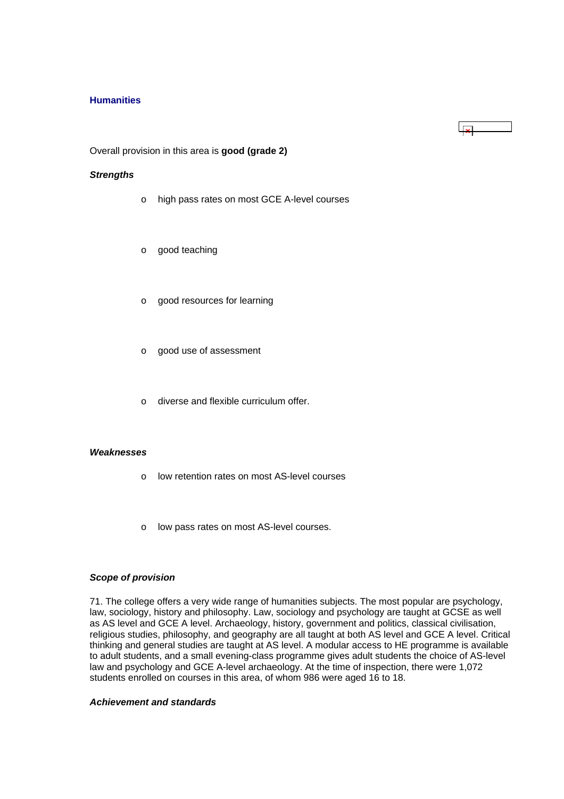### <span id="page-24-0"></span>**Humanities**

Overall provision in this area is **good (grade 2)**

### *Strengths*

- o high pass rates on most GCE A-level courses
- o good teaching
- o good resources for learning
- o good use of assessment
- o diverse and flexible curriculum offer.

#### *Weaknesses*

- o low retention rates on most AS-level courses
- o low pass rates on most AS-level courses.

### *Scope of provision*

71. The college offers a very wide range of humanities subjects. The most popular are psychology, law, sociology, history and philosophy. Law, sociology and psychology are taught at GCSE as well as AS level and GCE A level. Archaeology, history, government and politics, classical civilisation, religious studies, philosophy, and geography are all taught at both AS level and GCE A level. Critical thinking and general studies are taught at AS level. A modular access to HE programme is available to adult students, and a small evening-class programme gives adult students the choice of AS-level law and psychology and GCE A-level archaeology. At the time of inspection, there were 1,072 students enrolled on courses in this area, of whom 986 were aged 16 to 18.

# *Achievement and standards*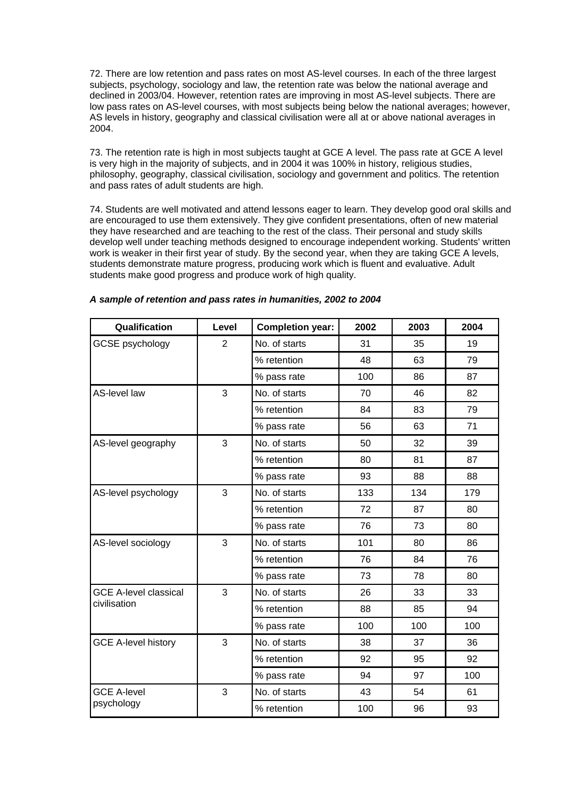72. There are low retention and pass rates on most AS-level courses. In each of the three largest subjects, psychology, sociology and law, the retention rate was below the national average and declined in 2003/04. However, retention rates are improving in most AS-level subjects. There are low pass rates on AS-level courses, with most subjects being below the national averages; however, AS levels in history, geography and classical civilisation were all at or above national averages in 2004.

73. The retention rate is high in most subjects taught at GCE A level. The pass rate at GCE A level is very high in the majority of subjects, and in 2004 it was 100% in history, religious studies, philosophy, geography, classical civilisation, sociology and government and politics. The retention and pass rates of adult students are high.

74. Students are well motivated and attend lessons eager to learn. They develop good oral skills and are encouraged to use them extensively. They give confident presentations, often of new material they have researched and are teaching to the rest of the class. Their personal and study skills develop well under teaching methods designed to encourage independent working. Students' written work is weaker in their first year of study. By the second year, when they are taking GCE A levels, students demonstrate mature progress, producing work which is fluent and evaluative. Adult students make good progress and produce work of high quality.

| Qualification                | Level          | <b>Completion year:</b> | 2002 | 2003 | 2004 |
|------------------------------|----------------|-------------------------|------|------|------|
| <b>GCSE</b> psychology       | $\overline{2}$ | No. of starts           | 31   | 35   | 19   |
|                              |                | % retention             | 48   | 63   | 79   |
|                              |                | % pass rate             | 100  | 86   | 87   |
| AS-level law                 | 3              | No. of starts           | 70   | 46   | 82   |
|                              |                | % retention             | 84   | 83   | 79   |
|                              |                | % pass rate             | 56   | 63   | 71   |
| AS-level geography           | 3              | No. of starts           | 50   | 32   | 39   |
|                              |                | % retention             | 80   | 81   | 87   |
|                              |                | % pass rate             | 93   | 88   | 88   |
| AS-level psychology          | 3              | No. of starts           | 133  | 134  | 179  |
|                              |                | % retention             | 72   | 87   | 80   |
|                              |                | % pass rate             | 76   | 73   | 80   |
| AS-level sociology           | 3              | No. of starts           | 101  | 80   | 86   |
|                              |                | % retention             | 76   | 84   | 76   |
|                              |                | % pass rate             | 73   | 78   | 80   |
| <b>GCE A-level classical</b> | 3              | No. of starts           | 26   | 33   | 33   |
| civilisation                 |                | % retention             | 88   | 85   | 94   |
|                              |                | % pass rate             | 100  | 100  | 100  |
| <b>GCE A-level history</b>   | 3              | No. of starts           | 38   | 37   | 36   |
|                              |                | % retention             | 92   | 95   | 92   |
|                              |                | % pass rate             | 94   | 97   | 100  |
| <b>GCE A-level</b>           | 3              | No. of starts           | 43   | 54   | 61   |
| psychology                   |                | % retention             | 100  | 96   | 93   |

# *A sample of retention and pass rates in humanities, 2002 to 2004*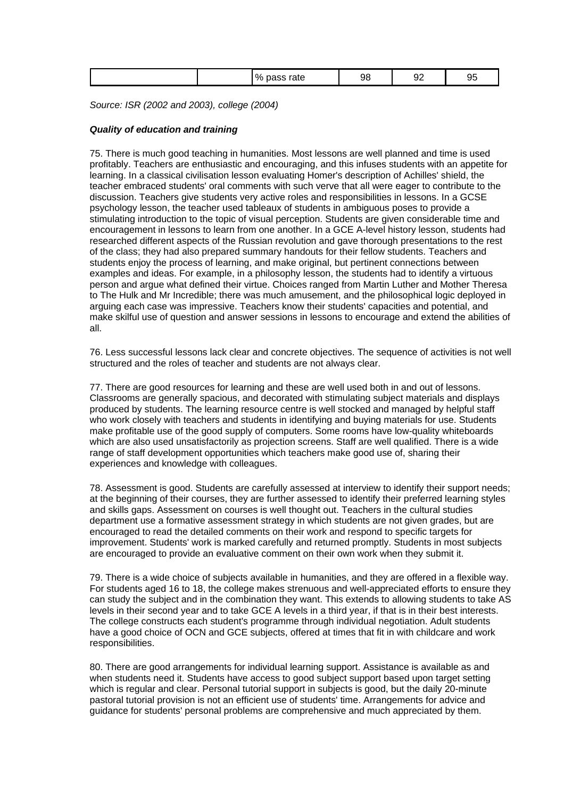| ----<br>u.<br>76<br>.<br>$\cdot$ $\cdot$<br>ັ<br>__ |
|-----------------------------------------------------|
|-----------------------------------------------------|

*Source: ISR (2002 and 2003), college (2004)*

# *Quality of education and training*

75. There is much good teaching in humanities. Most lessons are well planned and time is used profitably. Teachers are enthusiastic and encouraging, and this infuses students with an appetite for learning. In a classical civilisation lesson evaluating Homer's description of Achilles' shield, the teacher embraced students' oral comments with such verve that all were eager to contribute to the discussion. Teachers give students very active roles and responsibilities in lessons. In a GCSE psychology lesson, the teacher used tableaux of students in ambiguous poses to provide a stimulating introduction to the topic of visual perception. Students are given considerable time and encouragement in lessons to learn from one another. In a GCE A-level history lesson, students had researched different aspects of the Russian revolution and gave thorough presentations to the rest of the class; they had also prepared summary handouts for their fellow students. Teachers and students enjoy the process of learning, and make original, but pertinent connections between examples and ideas. For example, in a philosophy lesson, the students had to identify a virtuous person and argue what defined their virtue. Choices ranged from Martin Luther and Mother Theresa to The Hulk and Mr Incredible; there was much amusement, and the philosophical logic deployed in arguing each case was impressive. Teachers know their students' capacities and potential, and make skilful use of question and answer sessions in lessons to encourage and extend the abilities of all.

76. Less successful lessons lack clear and concrete objectives. The sequence of activities is not well structured and the roles of teacher and students are not always clear.

77. There are good resources for learning and these are well used both in and out of lessons. Classrooms are generally spacious, and decorated with stimulating subject materials and displays produced by students. The learning resource centre is well stocked and managed by helpful staff who work closely with teachers and students in identifying and buying materials for use. Students make profitable use of the good supply of computers. Some rooms have low-quality whiteboards which are also used unsatisfactorily as projection screens. Staff are well qualified. There is a wide range of staff development opportunities which teachers make good use of, sharing their experiences and knowledge with colleagues.

78. Assessment is good. Students are carefully assessed at interview to identify their support needs; at the beginning of their courses, they are further assessed to identify their preferred learning styles and skills gaps. Assessment on courses is well thought out. Teachers in the cultural studies department use a formative assessment strategy in which students are not given grades, but are encouraged to read the detailed comments on their work and respond to specific targets for improvement. Students' work is marked carefully and returned promptly. Students in most subjects are encouraged to provide an evaluative comment on their own work when they submit it.

79. There is a wide choice of subjects available in humanities, and they are offered in a flexible way. For students aged 16 to 18, the college makes strenuous and well-appreciated efforts to ensure they can study the subject and in the combination they want. This extends to allowing students to take AS levels in their second year and to take GCE A levels in a third year, if that is in their best interests. The college constructs each student's programme through individual negotiation. Adult students have a good choice of OCN and GCE subjects, offered at times that fit in with childcare and work responsibilities.

80. There are good arrangements for individual learning support. Assistance is available as and when students need it. Students have access to good subject support based upon target setting which is regular and clear. Personal tutorial support in subjects is good, but the daily 20-minute pastoral tutorial provision is not an efficient use of students' time. Arrangements for advice and guidance for students' personal problems are comprehensive and much appreciated by them.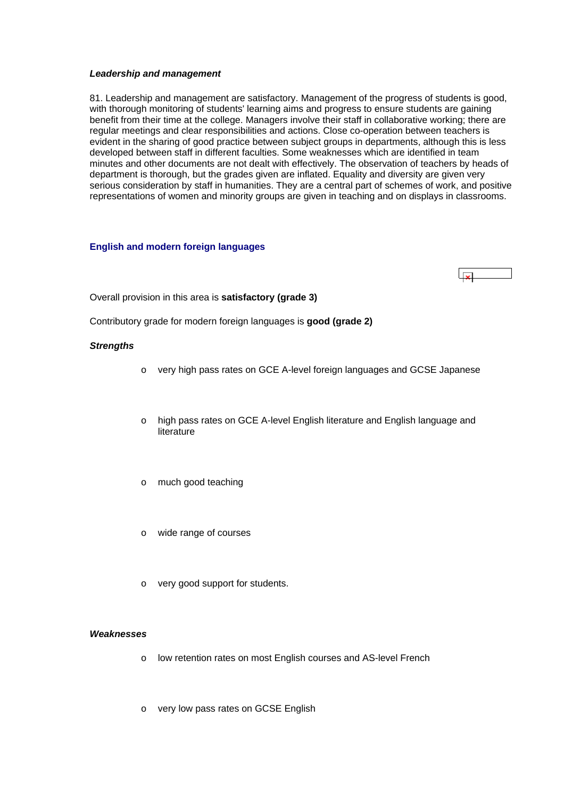#### <span id="page-27-0"></span>*Leadership and management*

81. Leadership and management are satisfactory. Management of the progress of students is good, with thorough monitoring of students' learning aims and progress to ensure students are gaining benefit from their time at the college. Managers involve their staff in collaborative working; there are regular meetings and clear responsibilities and actions. Close co-operation between teachers is evident in the sharing of good practice between subject groups in departments, although this is less developed between staff in different faculties. Some weaknesses which are identified in team minutes and other documents are not dealt with effectively. The observation of teachers by heads of department is thorough, but the grades given are inflated. Equality and diversity are given very serious consideration by staff in humanities. They are a central part of schemes of work, and positive representations of women and minority groups are given in teaching and on displays in classrooms.

### **English and modern foreign languages**



Overall provision in this area is **satisfactory (grade 3)**

Contributory grade for modern foreign languages is **good (grade 2)**

### *Strengths*

- o very high pass rates on GCE A-level foreign languages and GCSE Japanese
- o high pass rates on GCE A-level English literature and English language and literature
- o much good teaching
- o wide range of courses
- o very good support for students.

#### *Weaknesses*

- o low retention rates on most English courses and AS-level French
- o very low pass rates on GCSE English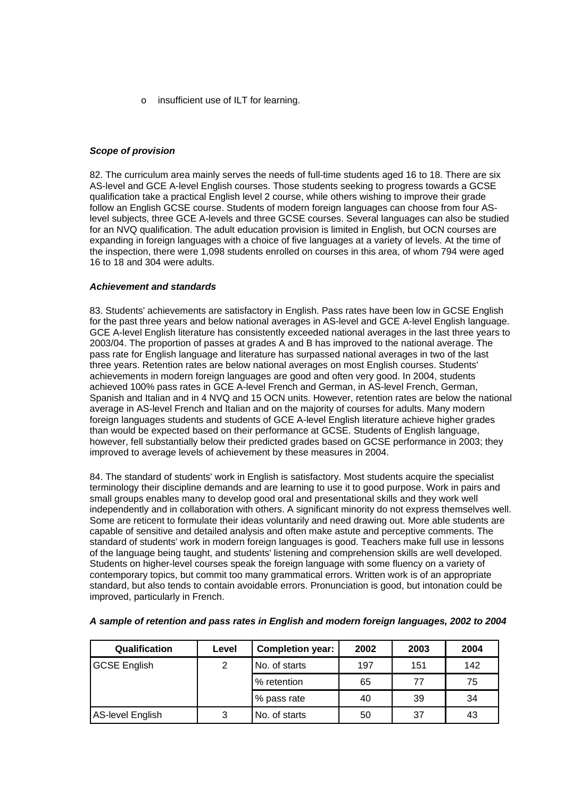o insufficient use of ILT for learning.

# *Scope of provision*

82. The curriculum area mainly serves the needs of full-time students aged 16 to 18. There are six AS-level and GCE A-level English courses. Those students seeking to progress towards a GCSE qualification take a practical English level 2 course, while others wishing to improve their grade follow an English GCSE course. Students of modern foreign languages can choose from four ASlevel subjects, three GCE A-levels and three GCSE courses. Several languages can also be studied for an NVQ qualification. The adult education provision is limited in English, but OCN courses are expanding in foreign languages with a choice of five languages at a variety of levels. At the time of the inspection, there were 1,098 students enrolled on courses in this area, of whom 794 were aged 16 to 18 and 304 were adults.

# *Achievement and standards*

83. Students' achievements are satisfactory in English. Pass rates have been low in GCSE English for the past three years and below national averages in AS-level and GCE A-level English language. GCE A-level English literature has consistently exceeded national averages in the last three years to 2003/04. The proportion of passes at grades A and B has improved to the national average. The pass rate for English language and literature has surpassed national averages in two of the last three years. Retention rates are below national averages on most English courses. Students' achievements in modern foreign languages are good and often very good. In 2004, students achieved 100% pass rates in GCE A-level French and German, in AS-level French, German, Spanish and Italian and in 4 NVQ and 15 OCN units. However, retention rates are below the national average in AS-level French and Italian and on the majority of courses for adults. Many modern foreign languages students and students of GCE A-level English literature achieve higher grades than would be expected based on their performance at GCSE. Students of English language, however, fell substantially below their predicted grades based on GCSE performance in 2003; they improved to average levels of achievement by these measures in 2004.

84. The standard of students' work in English is satisfactory. Most students acquire the specialist terminology their discipline demands and are learning to use it to good purpose. Work in pairs and small groups enables many to develop good oral and presentational skills and they work well independently and in collaboration with others. A significant minority do not express themselves well. Some are reticent to formulate their ideas voluntarily and need drawing out. More able students are capable of sensitive and detailed analysis and often make astute and perceptive comments. The standard of students' work in modern foreign languages is good. Teachers make full use in lessons of the language being taught, and students' listening and comprehension skills are well developed. Students on higher-level courses speak the foreign language with some fluency on a variety of contemporary topics, but commit too many grammatical errors. Written work is of an appropriate standard, but also tends to contain avoidable errors. Pronunciation is good, but intonation could be improved, particularly in French.

| <b>Qualification</b>    | Level | <b>Completion year:</b> | 2002 | 2003 | 2004 |
|-------------------------|-------|-------------------------|------|------|------|
| <b>GCSE English</b>     | 2     | No. of starts           | 197  | 151  | 142  |
|                         |       | % retention             | 65   | 77   | 75   |
|                         |       | % pass rate             | 40   | 39   | 34   |
| <b>AS-level English</b> | 3     | No. of starts           | 50   | 37   | 43   |

# *A sample of retention and pass rates in English and modern foreign languages, 2002 to 2004*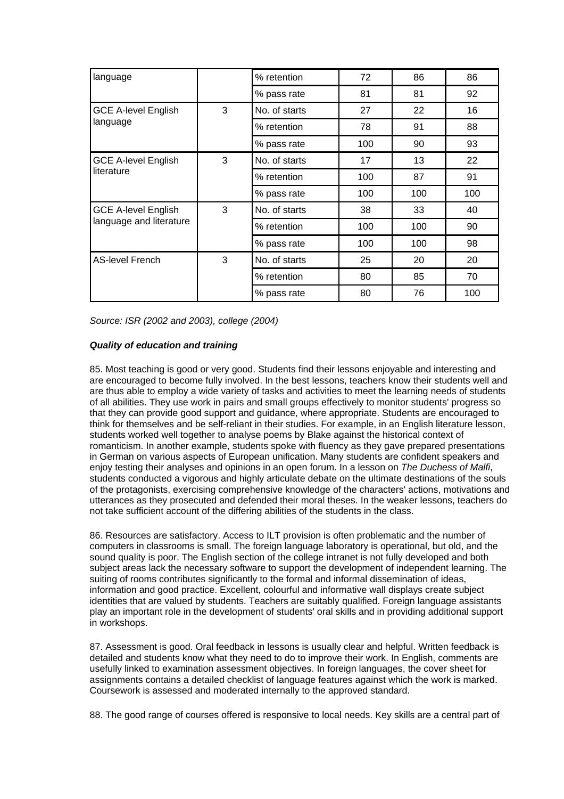| language                   |   | % retention        | 72  | 86  | 86  |
|----------------------------|---|--------------------|-----|-----|-----|
|                            |   | % pass rate        | 81  | 81  | 92  |
| <b>GCE A-level English</b> | 3 | No. of starts      | 27  | 22  | 16  |
| language                   |   | % retention        | 78  | 91  | 88  |
|                            |   | % pass rate        | 100 | 90  | 93  |
| <b>GCE A-level English</b> | 3 | No. of starts      | 17  | 13  | 22  |
| literature                 |   | 100<br>% retention |     | 87  | 91  |
|                            |   | % pass rate        | 100 | 100 | 100 |
| <b>GCE A-level English</b> | 3 | No. of starts      | 38  | 33  | 40  |
| language and literature    |   | % retention        | 100 | 100 | 90  |
|                            |   | % pass rate        | 100 | 100 | 98  |
| <b>AS-level French</b>     | 3 | No. of starts      | 25  | 20  | 20  |
|                            |   | % retention        | 80  | 85  | 70  |
|                            |   | % pass rate        | 80  | 76  | 100 |

*Source: ISR (2002 and 2003), college (2004)*

# *Quality of education and training*

85. Most teaching is good or very good. Students find their lessons enjoyable and interesting and are encouraged to become fully involved. In the best lessons, teachers know their students well and are thus able to employ a wide variety of tasks and activities to meet the learning needs of students of all abilities. They use work in pairs and small groups effectively to monitor students' progress so that they can provide good support and guidance, where appropriate. Students are encouraged to think for themselves and be self-reliant in their studies. For example, in an English literature lesson, students worked well together to analyse poems by Blake against the historical context of romanticism. In another example, students spoke with fluency as they gave prepared presentations in German on various aspects of European unification. Many students are confident speakers and enjoy testing their analyses and opinions in an open forum. In a lesson on *The Duchess of Malfi*, students conducted a vigorous and highly articulate debate on the ultimate destinations of the souls of the protagonists, exercising comprehensive knowledge of the characters' actions, motivations and utterances as they prosecuted and defended their moral theses. In the weaker lessons, teachers do not take sufficient account of the differing abilities of the students in the class.

86. Resources are satisfactory. Access to ILT provision is often problematic and the number of computers in classrooms is small. The foreign language laboratory is operational, but old, and the sound quality is poor. The English section of the college intranet is not fully developed and both subject areas lack the necessary software to support the development of independent learning. The suiting of rooms contributes significantly to the formal and informal dissemination of ideas, information and good practice. Excellent, colourful and informative wall displays create subject identities that are valued by students. Teachers are suitably qualified. Foreign language assistants play an important role in the development of students' oral skills and in providing additional support in workshops.

87. Assessment is good. Oral feedback in lessons is usually clear and helpful. Written feedback is detailed and students know what they need to do to improve their work. In English, comments are usefully linked to examination assessment objectives. In foreign languages, the cover sheet for assignments contains a detailed checklist of language features against which the work is marked. Coursework is assessed and moderated internally to the approved standard.

88. The good range of courses offered is responsive to local needs. Key skills are a central part of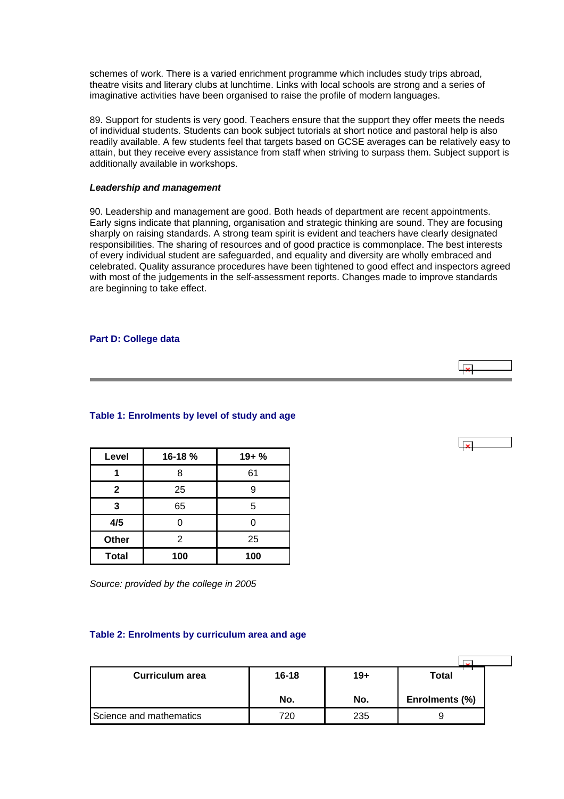<span id="page-30-0"></span>schemes of work. There is a varied enrichment programme which includes study trips abroad, theatre visits and literary clubs at lunchtime. Links with local schools are strong and a series of imaginative activities have been organised to raise the profile of modern languages.

89. Support for students is very good. Teachers ensure that the support they offer meets the needs of individual students. Students can book subject tutorials at short notice and pastoral help is also readily available. A few students feel that targets based on GCSE averages can be relatively easy to attain, but they receive every assistance from staff when striving to surpass them. Subject support is additionally available in workshops.

### *Leadership and management*

90. Leadership and management are good. Both heads of department are recent appointments. Early signs indicate that planning, organisation and strategic thinking are sound. They are focusing sharply on raising standards. A strong team spirit is evident and teachers have clearly designated responsibilities. The sharing of resources and of good practice is commonplace. The best interests of every individual student are safeguarded, and equality and diversity are wholly embraced and celebrated. Quality assurance procedures have been tightened to good effect and inspectors agreed with most of the judgements in the self-assessment reports. Changes made to improve standards are beginning to take effect.

# **Part D: College data**

# **Table 1: Enrolments by level of study and age**

| Level        | 16-18 % | $19 + %$ |
|--------------|---------|----------|
|              | 8       | 61       |
| $\mathbf{2}$ | 25      |          |
| 3            | 65      | 5        |
| 4/5          |         |          |
| Other        | 2       | 25       |
| <b>Total</b> | 100     | 100      |

*Source: provided by the college in 2005*

# **Table 2: Enrolments by curriculum area and age**

| Curriculum area         | $16 - 18$ | $19+$ | Total          |  |
|-------------------------|-----------|-------|----------------|--|
|                         | No.       | No.   | Enrolments (%) |  |
| Science and mathematics | 720       | 235   |                |  |

 $\overline{1}$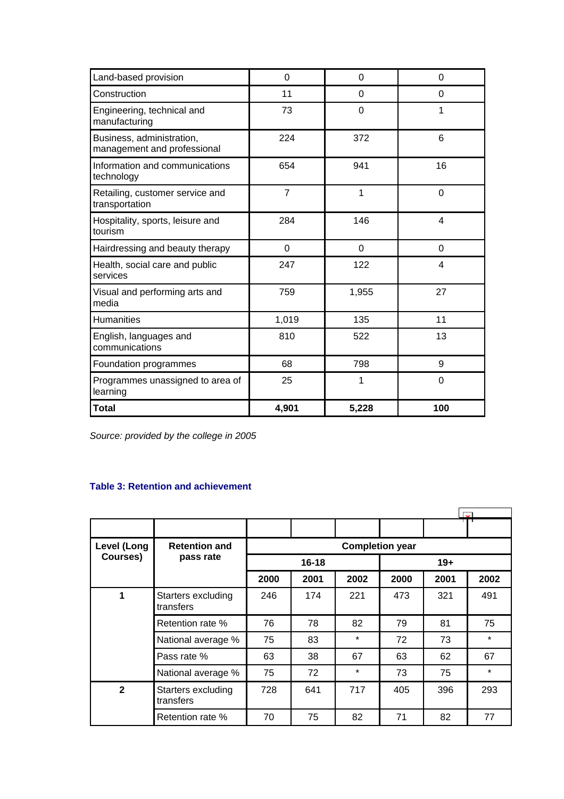<span id="page-31-0"></span>

| Land-based provision                                     | $\mathbf 0$    | 0              | 0        |
|----------------------------------------------------------|----------------|----------------|----------|
| Construction                                             | 11             | 0              | 0        |
| Engineering, technical and<br>manufacturing              | 73             | 0              | 1        |
| Business, administration,<br>management and professional | 224            | 372            | 6        |
| Information and communications<br>technology             | 654            | 941            | 16       |
| Retailing, customer service and<br>transportation        | $\overline{7}$ | 1              | $\Omega$ |
| Hospitality, sports, leisure and<br>tourism              | 284            | 146            | 4        |
| Hairdressing and beauty therapy                          | 0              | $\overline{0}$ | $\Omega$ |
| Health, social care and public<br>services               | 247            | 122            | 4        |
| Visual and performing arts and<br>media                  | 759            | 1,955          | 27       |
| <b>Humanities</b>                                        | 1,019          | 135            | 11       |
| English, languages and<br>communications                 | 810            | 522            | 13       |
| Foundation programmes                                    | 68             | 798            | 9        |
| Programmes unassigned to area of<br>learning             | 25             | 1              | $\Omega$ |
| <b>Total</b>                                             | 4,901          | 5,228          | 100      |

*Source: provided by the college in 2005*

# **Table 3: Retention and achievement**

|                |                                 |                        |           |         |      | $\overline{\mathbf{v}}$ |         |  |  |
|----------------|---------------------------------|------------------------|-----------|---------|------|-------------------------|---------|--|--|
|                |                                 |                        |           |         |      |                         |         |  |  |
| Level (Long    | <b>Retention and</b>            | <b>Completion year</b> |           |         |      |                         |         |  |  |
| Courses)       | pass rate                       |                        | $16 - 18$ |         |      | $19+$                   |         |  |  |
|                |                                 | 2000                   | 2001      | 2002    | 2000 | 2001                    | 2002    |  |  |
| 1              | Starters excluding<br>transfers | 246                    | 174       | 221     | 473  | 321                     | 491     |  |  |
|                | Retention rate %                | 76                     | 78        | 82      | 79   | 81                      | 75      |  |  |
|                | National average %              | 75                     | 83        | $\star$ | 72   | 73                      | $\star$ |  |  |
|                | Pass rate %                     | 63                     | 38        | 67      | 63   | 62                      | 67      |  |  |
|                | National average %              | 75                     | 72        | $\star$ | 73   | 75                      | $\star$ |  |  |
| $\overline{2}$ | Starters excluding<br>transfers | 728                    | 641       | 717     | 405  | 396                     | 293     |  |  |
|                | Retention rate %                | 70                     | 75        | 82      | 71   | 82                      | 77      |  |  |